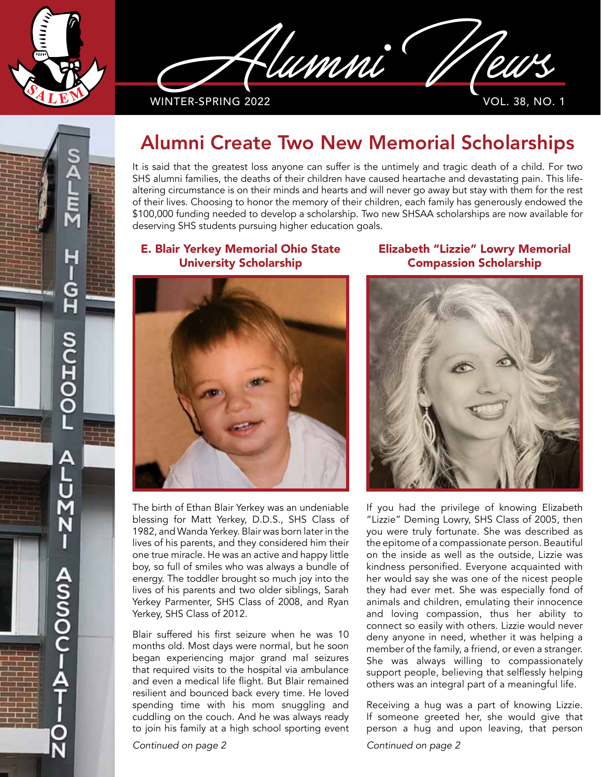

Iumni

WINTER-SPRING 2022

## Alumni Create Two New Memorial Scholarships

It is said that the greatest loss anyone can suffer is the untimely and tragic death of a child. For two SHS alumni families, the deaths of their children have caused heartache and devastating pain. This lifealtering circumstance is on their minds and hearts and will never go away but stay with them for the rest of their lives. Choosing to honor the memory of their children, each family has generously endowed the \$100,000 funding needed to develop a scholarship. Two new SHSAA scholarships are now available for deserving SHS students pursuing higher education goals.

## E. Blair Yerkey Memorial Ohio State University Scholarship



The birth of Ethan Blair Yerkey was an undeniable blessing for Matt Yerkey, D.D.S., SHS Class of 1982, and Wanda Yerkey. Blair was born later in the lives of his parents, and they considered him their one true miracle. He was an active and happy little boy, so full of smiles who was always a bundle of energy. The toddler brought so much joy into the lives of his parents and two older siblings, Sarah Yerkey Parmenter, SHS Class of 2008, and Ryan Yerkey, SHS Class of 2012.

Blair suffered his first seizure when he was 10 months old. Most days were normal, but he soon began experiencing major grand mal seizures that required visits to the hospital via ambulance and even a medical life flight. But Blair remained resilient and bounced back every time. He loved spending time with his mom snuggling and cuddling on the couch. And he was always ready to join his family at a high school sporting event

*Continued on page 2 Continued on page 2*

Elizabeth "Lizzie" Lowry Memorial Compassion Scholarship



If you had the privilege of knowing Elizabeth "Lizzie" Deming Lowry, SHS Class of 2005, then you were truly fortunate. She was described as the epitome of a compassionate person. Beautiful on the inside as well as the outside, Lizzie was kindness personified. Everyone acquainted with her would say she was one of the nicest people they had ever met. She was especially fond of animals and children, emulating their innocence and loving compassion, thus her ability to connect so easily with others. Lizzie would never deny anyone in need, whether it was helping a member of the family, a friend, or even a stranger. She was always willing to compassionately support people, believing that selflessly helping others was an integral part of a meaningful life.

Receiving a hug was a part of knowing Lizzie. If someone greeted her, she would give that person a hug and upon leaving, that person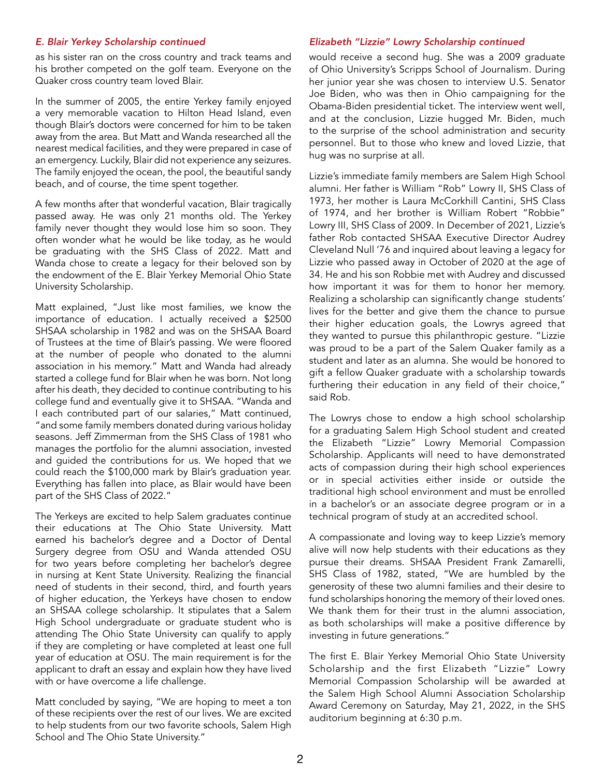as his sister ran on the cross country and track teams and his brother competed on the golf team. Everyone on the Quaker cross country team loved Blair.

In the summer of 2005, the entire Yerkey family enjoyed a very memorable vacation to Hilton Head Island, even though Blair's doctors were concerned for him to be taken away from the area. But Matt and Wanda researched all the nearest medical facilities, and they were prepared in case of an emergency. Luckily, Blair did not experience any seizures. The family enjoyed the ocean, the pool, the beautiful sandy beach, and of course, the time spent together.

A few months after that wonderful vacation, Blair tragically passed away. He was only 21 months old. The Yerkey family never thought they would lose him so soon. They often wonder what he would be like today, as he would be graduating with the SHS Class of 2022. Matt and Wanda chose to create a legacy for their beloved son by the endowment of the E. Blair Yerkey Memorial Ohio State University Scholarship.

Matt explained, "Just like most families, we know the importance of education. I actually received a \$2500 SHSAA scholarship in 1982 and was on the SHSAA Board of Trustees at the time of Blair's passing. We were floored at the number of people who donated to the alumni association in his memory." Matt and Wanda had already started a college fund for Blair when he was born. Not long after his death, they decided to continue contributing to his college fund and eventually give it to SHSAA. "Wanda and I each contributed part of our salaries," Matt continued, "and some family members donated during various holiday seasons. Jeff Zimmerman from the SHS Class of 1981 who manages the portfolio for the alumni association, invested and guided the contributions for us. We hoped that we could reach the \$100,000 mark by Blair's graduation year. Everything has fallen into place, as Blair would have been part of the SHS Class of 2022."

The Yerkeys are excited to help Salem graduates continue their educations at The Ohio State University. Matt earned his bachelor's degree and a Doctor of Dental Surgery degree from OSU and Wanda attended OSU for two years before completing her bachelor's degree in nursing at Kent State University. Realizing the financial need of students in their second, third, and fourth years of higher education, the Yerkeys have chosen to endow an SHSAA college scholarship. It stipulates that a Salem High School undergraduate or graduate student who is attending The Ohio State University can qualify to apply if they are completing or have completed at least one full year of education at OSU. The main requirement is for the applicant to draft an essay and explain how they have lived with or have overcome a life challenge.

Matt concluded by saying, "We are hoping to meet a ton of these recipients over the rest of our lives. We are excited to help students from our two favorite schools, Salem High School and The Ohio State University."

## *E. Blair Yerkey Scholarship continued Elizabeth "Lizzie" Lowry Scholarship continued*

would receive a second hug. She was a 2009 graduate of Ohio University's Scripps School of Journalism. During her junior year she was chosen to interview U.S. Senator Joe Biden, who was then in Ohio campaigning for the Obama-Biden presidential ticket. The interview went well, and at the conclusion, Lizzie hugged Mr. Biden, much to the surprise of the school administration and security personnel. But to those who knew and loved Lizzie, that hug was no surprise at all.

Lizzie's immediate family members are Salem High School alumni. Her father is William "Rob" Lowry II, SHS Class of 1973, her mother is Laura McCorkhill Cantini, SHS Class of 1974, and her brother is William Robert "Robbie" Lowry III, SHS Class of 2009. In December of 2021, Lizzie's father Rob contacted SHSAA Executive Director Audrey Cleveland Null '76 and inquired about leaving a legacy for Lizzie who passed away in October of 2020 at the age of 34. He and his son Robbie met with Audrey and discussed how important it was for them to honor her memory. Realizing a scholarship can significantly change students' lives for the better and give them the chance to pursue their higher education goals, the Lowrys agreed that they wanted to pursue this philanthropic gesture. "Lizzie was proud to be a part of the Salem Quaker family as a student and later as an alumna. She would be honored to gift a fellow Quaker graduate with a scholarship towards furthering their education in any field of their choice," said Rob.

The Lowrys chose to endow a high school scholarship for a graduating Salem High School student and created the Elizabeth "Lizzie" Lowry Memorial Compassion Scholarship. Applicants will need to have demonstrated acts of compassion during their high school experiences or in special activities either inside or outside the traditional high school environment and must be enrolled in a bachelor's or an associate degree program or in a technical program of study at an accredited school.

A compassionate and loving way to keep Lizzie's memory alive will now help students with their educations as they pursue their dreams. SHSAA President Frank Zamarelli, SHS Class of 1982, stated, "We are humbled by the generosity of these two alumni families and their desire to fund scholarships honoring the memory of their loved ones. We thank them for their trust in the alumni association, as both scholarships will make a positive difference by investing in future generations."

The first E. Blair Yerkey Memorial Ohio State University Scholarship and the first Elizabeth "Lizzie" Lowry Memorial Compassion Scholarship will be awarded at the Salem High School Alumni Association Scholarship Award Ceremony on Saturday, May 21, 2022, in the SHS auditorium beginning at 6:30 p.m.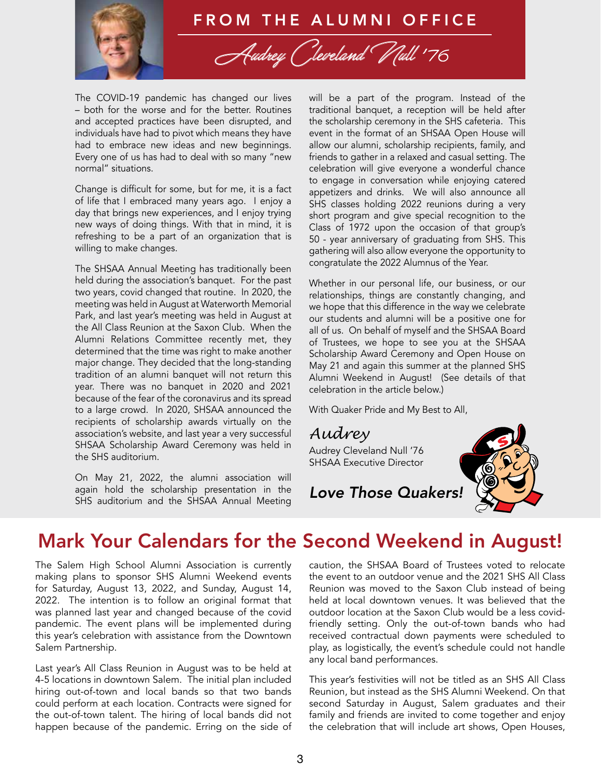

## FROM THE ALUMNI OFFICE

Audrey (Jeveland V Wll '76

The COVID-19 pandemic has changed our lives – both for the worse and for the better. Routines and accepted practices have been disrupted, and individuals have had to pivot which means they have had to embrace new ideas and new beginnings. Every one of us has had to deal with so many "new normal" situations.

Change is difficult for some, but for me, it is a fact of life that I embraced many years ago. I enjoy a day that brings new experiences, and I enjoy trying new ways of doing things. With that in mind, it is refreshing to be a part of an organization that is willing to make changes.

The SHSAA Annual Meeting has traditionally been held during the association's banquet. For the past two years, covid changed that routine. In 2020, the meeting was held in August at Waterworth Memorial Park, and last year's meeting was held in August at the All Class Reunion at the Saxon Club. When the Alumni Relations Committee recently met, they determined that the time was right to make another major change. They decided that the long-standing tradition of an alumni banquet will not return this year. There was no banquet in 2020 and 2021 because of the fear of the coronavirus and its spread to a large crowd. In 2020, SHSAA announced the recipients of scholarship awards virtually on the association's website, and last year a very successful SHSAA Scholarship Award Ceremony was held in the SHS auditorium.

On May 21, 2022, the alumni association will again hold the scholarship presentation in the SHS auditorium and the SHSAA Annual Meeting

will be a part of the program. Instead of the traditional banquet, a reception will be held after the scholarship ceremony in the SHS cafeteria. This event in the format of an SHSAA Open House will allow our alumni, scholarship recipients, family, and friends to gather in a relaxed and casual setting. The celebration will give everyone a wonderful chance to engage in conversation while enjoying catered appetizers and drinks. We will also announce all SHS classes holding 2022 reunions during a very short program and give special recognition to the Class of 1972 upon the occasion of that group's 50 - year anniversary of graduating from SHS. This gathering will also allow everyone the opportunity to congratulate the 2022 Alumnus of the Year.

Whether in our personal life, our business, or our relationships, things are constantly changing, and we hope that this difference in the way we celebrate our students and alumni will be a positive one for all of us. On behalf of myself and the SHSAA Board of Trustees, we hope to see you at the SHSAA Scholarship Award Ceremony and Open House on May 21 and again this summer at the planned SHS Alumni Weekend in August! (See details of that celebration in the article below.)

With Quaker Pride and My Best to All,

*Audrey*

Audrey Cleveland Null '76 SHSAA Executive Director



*Love Those Quakers!*

## Mark Your Calendars for the Second Weekend in August!

The Salem High School Alumni Association is currently making plans to sponsor SHS Alumni Weekend events for Saturday, August 13, 2022, and Sunday, August 14, 2022. The intention is to follow an original format that was planned last year and changed because of the covid pandemic. The event plans will be implemented during this year's celebration with assistance from the Downtown Salem Partnership.

Last year's All Class Reunion in August was to be held at 4-5 locations in downtown Salem. The initial plan included hiring out-of-town and local bands so that two bands could perform at each location. Contracts were signed for the out-of-town talent. The hiring of local bands did not happen because of the pandemic. Erring on the side of caution, the SHSAA Board of Trustees voted to relocate the event to an outdoor venue and the 2021 SHS All Class Reunion was moved to the Saxon Club instead of being held at local downtown venues. It was believed that the outdoor location at the Saxon Club would be a less covidfriendly setting. Only the out-of-town bands who had received contractual down payments were scheduled to play, as logistically, the event's schedule could not handle any local band performances.

This year's festivities will not be titled as an SHS All Class Reunion, but instead as the SHS Alumni Weekend. On that second Saturday in August, Salem graduates and their family and friends are invited to come together and enjoy the celebration that will include art shows, Open Houses,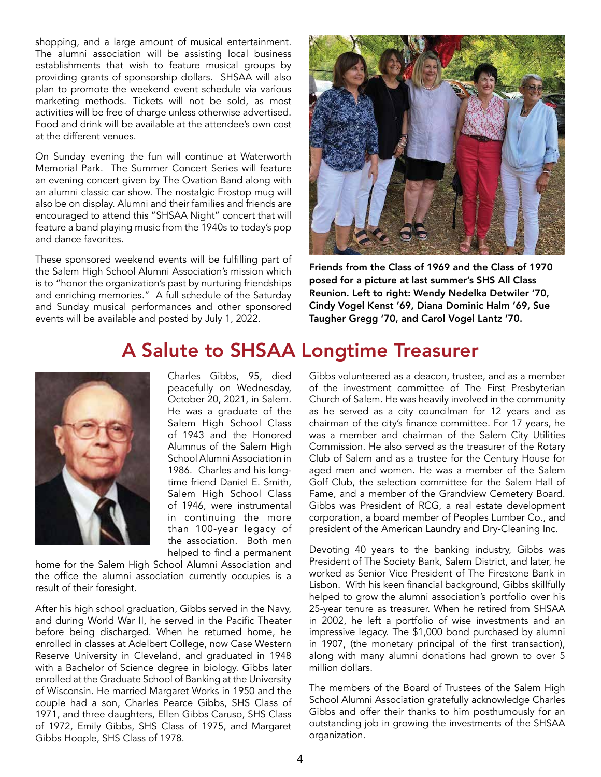shopping, and a large amount of musical entertainment. The alumni association will be assisting local business establishments that wish to feature musical groups by providing grants of sponsorship dollars. SHSAA will also plan to promote the weekend event schedule via various marketing methods. Tickets will not be sold, as most activities will be free of charge unless otherwise advertised. Food and drink will be available at the attendee's own cost at the different venues.

On Sunday evening the fun will continue at Waterworth Memorial Park. The Summer Concert Series will feature an evening concert given by The Ovation Band along with an alumni classic car show. The nostalgic Frostop mug will also be on display. Alumni and their families and friends are encouraged to attend this "SHSAA Night" concert that will feature a band playing music from the 1940s to today's pop and dance favorites.

These sponsored weekend events will be fulfilling part of the Salem High School Alumni Association's mission which is to "honor the organization's past by nurturing friendships and enriching memories." A full schedule of the Saturday and Sunday musical performances and other sponsored events will be available and posted by July 1, 2022.



Friends from the Class of 1969 and the Class of 1970 posed for a picture at last summer's SHS All Class Reunion. Left to right: Wendy Nedelka Detwiler '70, Cindy Vogel Kenst '69, Diana Dominic Halm '69, Sue Taugher Gregg '70, and Carol Vogel Lantz '70.

## A Salute to SHSAA Longtime Treasurer



Charles Gibbs, 95, died peacefully on Wednesday, October 20, 2021, in Salem. He was a graduate of the Salem High School Class of 1943 and the Honored Alumnus of the Salem High School Alumni Association in 1986. Charles and his longtime friend Daniel E. Smith, Salem High School Class of 1946, were instrumental in continuing the more than 100-year legacy of the association. Both men helped to find a permanent

home for the Salem High School Alumni Association and the office the alumni association currently occupies is a result of their foresight.

After his high school graduation, Gibbs served in the Navy, and during World War II, he served in the Pacific Theater before being discharged. When he returned home, he enrolled in classes at Adelbert College, now Case Western Reserve University in Cleveland, and graduated in 1948 with a Bachelor of Science degree in biology. Gibbs later enrolled at the Graduate School of Banking at the University of Wisconsin. He married Margaret Works in 1950 and the couple had a son, Charles Pearce Gibbs, SHS Class of 1971, and three daughters, Ellen Gibbs Caruso, SHS Class of 1972, Emily Gibbs, SHS Class of 1975, and Margaret Gibbs Hoople, SHS Class of 1978.

Gibbs volunteered as a deacon, trustee, and as a member of the investment committee of The First Presbyterian Church of Salem. He was heavily involved in the community as he served as a city councilman for 12 years and as chairman of the city's finance committee. For 17 years, he was a member and chairman of the Salem City Utilities Commission. He also served as the treasurer of the Rotary Club of Salem and as a trustee for the Century House for aged men and women. He was a member of the Salem Golf Club, the selection committee for the Salem Hall of Fame, and a member of the Grandview Cemetery Board. Gibbs was President of RCG, a real estate development corporation, a board member of Peoples Lumber Co., and president of the American Laundry and Dry-Cleaning Inc.

Devoting 40 years to the banking industry, Gibbs was President of The Society Bank, Salem District, and later, he worked as Senior Vice President of The Firestone Bank in Lisbon. With his keen financial background, Gibbs skillfully helped to grow the alumni association's portfolio over his 25-year tenure as treasurer. When he retired from SHSAA in 2002, he left a portfolio of wise investments and an impressive legacy. The \$1,000 bond purchased by alumni in 1907, (the monetary principal of the first transaction), along with many alumni donations had grown to over 5 million dollars.

The members of the Board of Trustees of the Salem High School Alumni Association gratefully acknowledge Charles Gibbs and offer their thanks to him posthumously for an outstanding job in growing the investments of the SHSAA organization.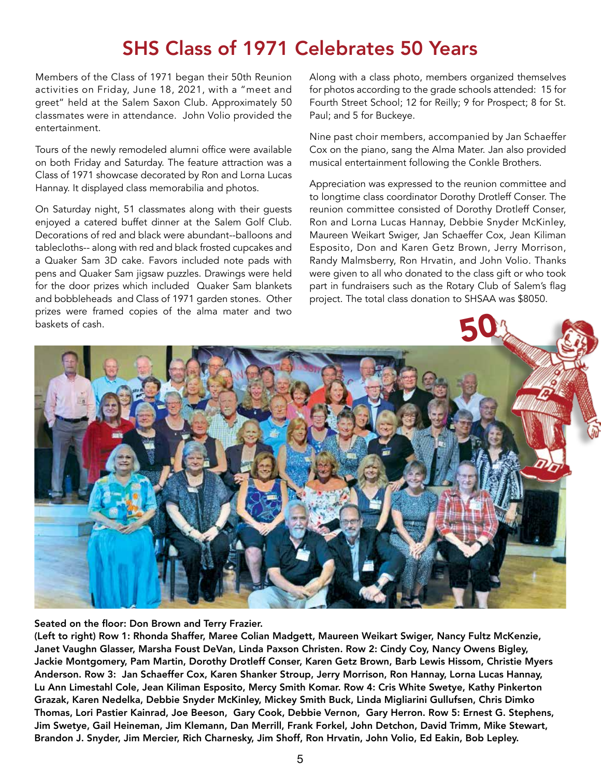## SHS Class of 1971 Celebrates 50 Years

Members of the Class of 1971 began their 50th Reunion activities on Friday, June 18, 2021, with a "meet and greet" held at the Salem Saxon Club. Approximately 50 classmates were in attendance. John Volio provided the entertainment.

Tours of the newly remodeled alumni office were available on both Friday and Saturday. The feature attraction was a Class of 1971 showcase decorated by Ron and Lorna Lucas Hannay. It displayed class memorabilia and photos.

On Saturday night, 51 classmates along with their guests enjoyed a catered buffet dinner at the Salem Golf Club. Decorations of red and black were abundant--balloons and tablecloths-- along with red and black frosted cupcakes and a Quaker Sam 3D cake. Favors included note pads with pens and Quaker Sam jigsaw puzzles. Drawings were held for the door prizes which included Quaker Sam blankets and bobbleheads and Class of 1971 garden stones. Other prizes were framed copies of the alma mater and two baskets of cash.

Along with a class photo, members organized themselves for photos according to the grade schools attended: 15 for Fourth Street School; 12 for Reilly; 9 for Prospect; 8 for St. Paul; and 5 for Buckeye.

Nine past choir members, accompanied by Jan Schaeffer Cox on the piano, sang the Alma Mater. Jan also provided musical entertainment following the Conkle Brothers.

Appreciation was expressed to the reunion committee and to longtime class coordinator Dorothy Drotleff Conser. The reunion committee consisted of Dorothy Drotleff Conser, Ron and Lorna Lucas Hannay, Debbie Snyder McKinley, Maureen Weikart Swiger, Jan Schaeffer Cox, Jean Kiliman Esposito, Don and Karen Getz Brown, Jerry Morrison, Randy Malmsberry, Ron Hrvatin, and John Volio. Thanks were given to all who donated to the class gift or who took part in fundraisers such as the Rotary Club of Salem's flag project. The total class donation to SHSAA was \$8050.



Seated on the floor: Don Brown and Terry Frazier.

(Left to right) Row 1: Rhonda Shaffer, Maree Colian Madgett, Maureen Weikart Swiger, Nancy Fultz McKenzie, Janet Vaughn Glasser, Marsha Foust DeVan, Linda Paxson Christen. Row 2: Cindy Coy, Nancy Owens Bigley, Jackie Montgomery, Pam Martin, Dorothy Drotleff Conser, Karen Getz Brown, Barb Lewis Hissom, Christie Myers Anderson. Row 3: Jan Schaeffer Cox, Karen Shanker Stroup, Jerry Morrison, Ron Hannay, Lorna Lucas Hannay, Lu Ann Limestahl Cole, Jean Kiliman Esposito, Mercy Smith Komar. Row 4: Cris White Swetye, Kathy Pinkerton Grazak, Karen Nedelka, Debbie Snyder McKinley, Mickey Smith Buck, Linda Migliarini Gullufsen, Chris Dimko Thomas, Lori Pastier Kainrad, Joe Beeson, Gary Cook, Debbie Vernon, Gary Herron. Row 5: Ernest G. Stephens, Jim Swetye, Gail Heineman, Jim Klemann, Dan Merrill, Frank Forkel, John Detchon, David Trimm, Mike Stewart, Brandon J. Snyder, Jim Mercier, Rich Charnesky, Jim Shoff, Ron Hrvatin, John Volio, Ed Eakin, Bob Lepley.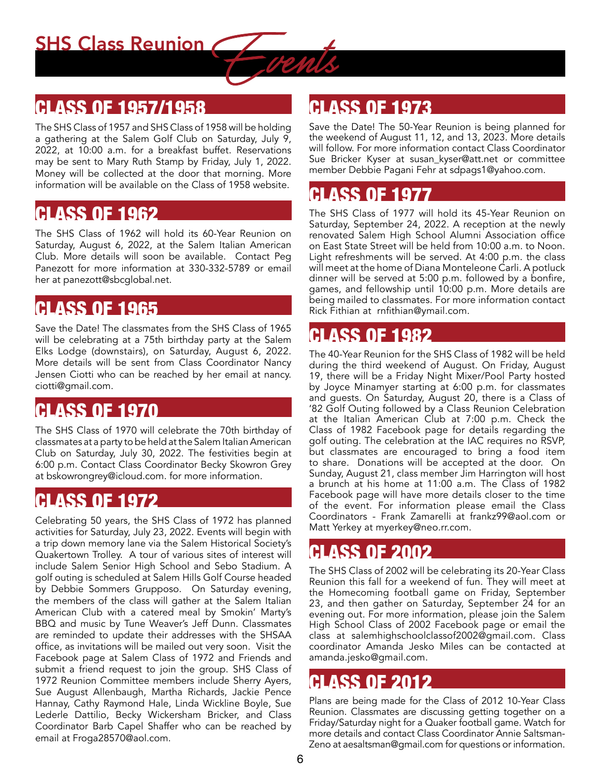## CLASS OF 1957/1958

The SHS Class of 1957 and SHS Class of 1958 will be holding a gathering at the Salem Golf Club on Saturday, July 9, 2022, at 10:00 a.m. for a breakfast buffet. Reservations may be sent to Mary Ruth Stamp by Friday, July 1, 2022. Money will be collected at the door that morning. More information will be available on the Class of 1958 website.

## CLASS OF 1962

The SHS Class of 1962 will hold its 60-Year Reunion on Saturday, August 6, 2022, at the Salem Italian American Club. More details will soon be available. Contact Peg Panezott for more information at 330-332-5789 or email her at panezott@sbcglobal.net.

## CLASS OF 1965

Save the Date! The classmates from the SHS Class of 1965 will be celebrating at a 75th birthday party at the Salem Elks Lodge (downstairs), on Saturday, August 6, 2022. More details will be sent from Class Coordinator Nancy Jensen Ciotti who can be reached by her email at nancy. ciotti@gmail.com.

## CLASS OF 1970

The SHS Class of 1970 will celebrate the 70th birthday of classmates at a party to be held at the Salem Italian American Club on Saturday, July 30, 2022. The festivities begin at 6:00 p.m. Contact Class Coordinator Becky Skowron Grey at bskowrongrey@icloud.com. for more information.

## CLASS OF 1972

Celebrating 50 years, the SHS Class of 1972 has planned activities for Saturday, July 23, 2022. Events will begin with a trip down memory lane via the Salem Historical Society's Quakertown Trolley. A tour of various sites of interest will include Salem Senior High School and Sebo Stadium. A golf outing is scheduled at Salem Hills Golf Course headed by Debbie Sommers Grupposo. On Saturday evening, the members of the class will gather at the Salem Italian American Club with a catered meal by Smokin' Marty's BBQ and music by Tune Weaver's Jeff Dunn. Classmates are reminded to update their addresses with the SHSAA office, as invitations will be mailed out very soon. Visit the Facebook page at Salem Class of 1972 and Friends and submit a friend request to join the group. SHS Class of 1972 Reunion Committee members include Sherry Ayers, Sue August Allenbaugh, Martha Richards, Jackie Pence Hannay, Cathy Raymond Hale, Linda Wickline Boyle, Sue Lederle Dattilio, Becky Wickersham Bricker, and Class Coordinator Barb Capel Shaffer who can be reached by email at Froga28570@aol.com.

## CLASS OF 1973

Save the Date! The 50-Year Reunion is being planned for the weekend of August 11, 12, and 13, 2023. More details will follow. For more information contact Class Coordinator Sue Bricker Kyser at susan kyser@att.net or committee member Debbie Pagani Fehr at sdpags1@yahoo.com.

## CLASS OF 1977

The SHS Class of 1977 will hold its 45-Year Reunion on Saturday, September 24, 2022. A reception at the newly renovated Salem High School Alumni Association office on East State Street will be held from 10:00 a.m. to Noon. Light refreshments will be served. At 4:00 p.m. the class will meet at the home of Diana Monteleone Carli. A potluck dinner will be served at 5:00 p.m. followed by a bonfire, games, and fellowship until 10:00 p.m. More details are being mailed to classmates. For more information contact Rick Fithian at rnfithian@ymail.com.

## CLASS OF 1982

The 40-Year Reunion for the SHS Class of 1982 will be held during the third weekend of August. On Friday, August 19, there will be a Friday Night Mixer/Pool Party hosted by Joyce Minamyer starting at 6:00 p.m. for classmates and guests. On Saturday, August 20, there is a Class of '82 Golf Outing followed by a Class Reunion Celebration at the Italian American Club at 7:00 p.m. Check the Class of 1982 Facebook page for details regarding the golf outing. The celebration at the IAC requires no RSVP, but classmates are encouraged to bring a food item to share. Donations will be accepted at the door. On Sunday, August 21, class member Jim Harrington will host a brunch at his home at 11:00 a.m. The Class of 1982 Facebook page will have more details closer to the time of the event. For information please email the Class Coordinators - Frank Zamarelli at frankz99@aol.com or Matt Yerkey at myerkey@neo.rr.com.

## CLASS OF 2002

The SHS Class of 2002 will be celebrating its 20-Year Class Reunion this fall for a weekend of fun. They will meet at the Homecoming football game on Friday, September 23, and then gather on Saturday, September 24 for an evening out. For more information, please join the Salem High School Class of 2002 Facebook page or email the class at salemhighschoolclassof2002@gmail.com. Class coordinator Amanda Jesko Miles can be contacted at amanda.jesko@gmail.com.

## CLASS OF 2012

Plans are being made for the Class of 2012 10-Year Class Reunion. Classmates are discussing getting together on a Friday/Saturday night for a Quaker football game. Watch for more details and contact Class Coordinator Annie Saltsman-Zeno at aesaltsman@gmail.com for questions or information.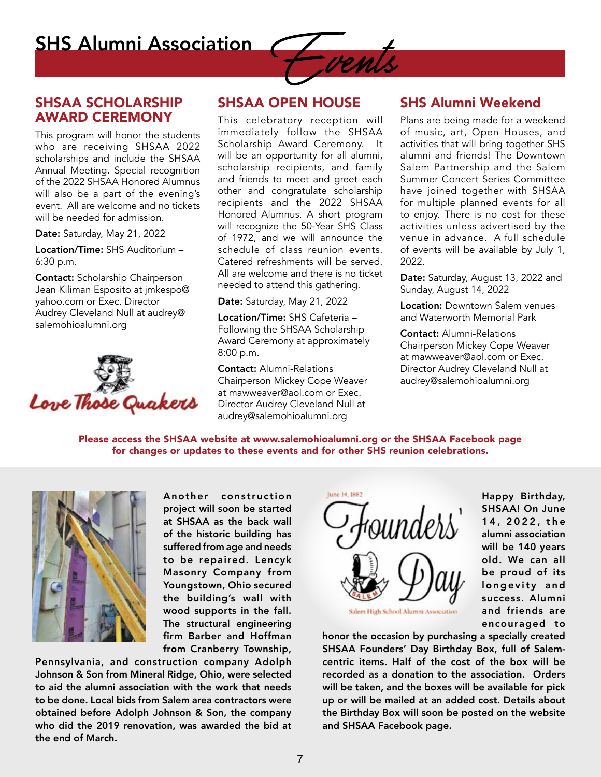**SHS Alumni Association** 

## SHSAA SCHOLARSHIP AWARD CEREMONY

This program will honor the students who are receiving SHSAA 2022 scholarships and include the SHSAA Annual Meeting. Special recognition of the 2022 SHSAA Honored Alumnus will also be a part of the evening's event. All are welcome and no tickets will be needed for admission.

Date: Saturday, May 21, 2022

Location/Time: SHS Auditorium – 6:30 p.m.

Contact: Scholarship Chairperson Jean Kiliman Esposito at jmkespo@ yahoo.com or Exec. Director Audrey Cleveland Null at audrey@ salemohioalumni.org



## SHSAA OPEN HOUSE

This celebratory reception will immediately follow the SHSAA Scholarship Award Ceremony. It will be an opportunity for all alumni, scholarship recipients, and family and friends to meet and greet each other and congratulate scholarship recipients and the 2022 SHSAA Honored Alumnus. A short program will recognize the 50-Year SHS Class of 1972, and we will announce the schedule of class reunion events. Catered refreshments will be served. All are welcome and there is no ticket needed to attend this gathering.

Date: Saturday, May 21, 2022

Location/Time: SHS Cafeteria – Following the SHSAA Scholarship Award Ceremony at approximately 8:00 p.m.

Contact: Alumni-Relations Chairperson Mickey Cope Weaver at mawweaver@aol.com or Exec. Director Audrey Cleveland Null at audrey@salemohioalumni.org

## SHS Alumni Weekend

Plans are being made for a weekend of music, art, Open Houses, and activities that will bring together SHS alumni and friends! The Downtown Salem Partnership and the Salem Summer Concert Series Committee have joined together with SHSAA for multiple planned events for all to enjoy. There is no cost for these activities unless advertised by the venue in advance. A full schedule of events will be available by July 1, 2022.

Date: Saturday, August 13, 2022 and Sunday, August 14, 2022

**Location: Downtown Salem venues** and Waterworth Memorial Park

Contact: Alumni-Relations Chairperson Mickey Cope Weaver at mawweaver@aol.com or Exec. Director Audrey Cleveland Null at audrey@salemohioalumni.org

Please access the SHSAA website at www.salemohioalumni.org or the SHSAA Facebook page for changes or updates to these events and for other SHS reunion celebrations.



Another construction project will soon be started at SHSAA as the back wall of the historic building has suffered from age and needs to be repaired. Lencyk Masonry Company from Youngstown, Ohio secured the building's wall with wood supports in the fall. The structural engineering firm Barber and Hoffman from Cranberry Township,

Pennsylvania, and construction company Adolph Johnson & Son from Mineral Ridge, Ohio, were selected to aid the alumni association with the work that needs to be done. Local bids from Salem area contractors were obtained before Adolph Johnson & Son, the company who did the 2019 renovation, was awarded the bid at the end of March.



Happy Birthday, SHSAA! On June 1 4 , 2 0 2 2 , t h e alumni association will be 140 years old. We can all be proud of its longevity and success. Alumni and friends are encouraged to

honor the occasion by purchasing a specially created SHSAA Founders' Day Birthday Box, full of Salemcentric items. Half of the cost of the box will be recorded as a donation to the association. Orders will be taken, and the boxes will be available for pick up or will be mailed at an added cost. Details about the Birthday Box will soon be posted on the website and SHSAA Facebook page.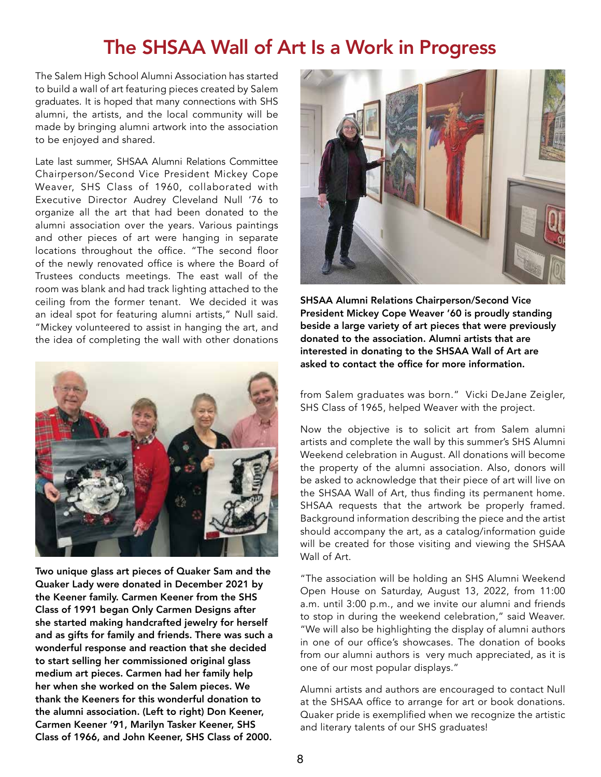## The SHSAA Wall of Art Is a Work in Progress

The Salem High School Alumni Association has started to build a wall of art featuring pieces created by Salem graduates. It is hoped that many connections with SHS alumni, the artists, and the local community will be made by bringing alumni artwork into the association to be enjoyed and shared.

Late last summer, SHSAA Alumni Relations Committee Chairperson/Second Vice President Mickey Cope Weaver, SHS Class of 1960, collaborated with Executive Director Audrey Cleveland Null '76 to organize all the art that had been donated to the alumni association over the years. Various paintings and other pieces of art were hanging in separate locations throughout the office. "The second floor of the newly renovated office is where the Board of Trustees conducts meetings. The east wall of the room was blank and had track lighting attached to the ceiling from the former tenant. We decided it was an ideal spot for featuring alumni artists," Null said. "Mickey volunteered to assist in hanging the art, and the idea of completing the wall with other donations



Two unique glass art pieces of Quaker Sam and the Quaker Lady were donated in December 2021 by the Keener family. Carmen Keener from the SHS Class of 1991 began Only Carmen Designs after she started making handcrafted jewelry for herself and as gifts for family and friends. There was such a wonderful response and reaction that she decided to start selling her commissioned original glass medium art pieces. Carmen had her family help her when she worked on the Salem pieces. We thank the Keeners for this wonderful donation to the alumni association. (Left to right) Don Keener, Carmen Keener '91, Marilyn Tasker Keener, SHS Class of 1966, and John Keener, SHS Class of 2000.



SHSAA Alumni Relations Chairperson/Second Vice President Mickey Cope Weaver '60 is proudly standing beside a large variety of art pieces that were previously donated to the association. Alumni artists that are interested in donating to the SHSAA Wall of Art are asked to contact the office for more information.

from Salem graduates was born." Vicki DeJane Zeigler, SHS Class of 1965, helped Weaver with the project.

Now the objective is to solicit art from Salem alumni artists and complete the wall by this summer's SHS Alumni Weekend celebration in August. All donations will become the property of the alumni association. Also, donors will be asked to acknowledge that their piece of art will live on the SHSAA Wall of Art, thus finding its permanent home. SHSAA requests that the artwork be properly framed. Background information describing the piece and the artist should accompany the art, as a catalog/information guide will be created for those visiting and viewing the SHSAA Wall of Art.

"The association will be holding an SHS Alumni Weekend Open House on Saturday, August 13, 2022, from 11:00 a.m. until 3:00 p.m., and we invite our alumni and friends to stop in during the weekend celebration," said Weaver. "We will also be highlighting the display of alumni authors in one of our office's showcases. The donation of books from our alumni authors is very much appreciated, as it is one of our most popular displays."

Alumni artists and authors are encouraged to contact Null at the SHSAA office to arrange for art or book donations. Quaker pride is exemplified when we recognize the artistic and literary talents of our SHS graduates!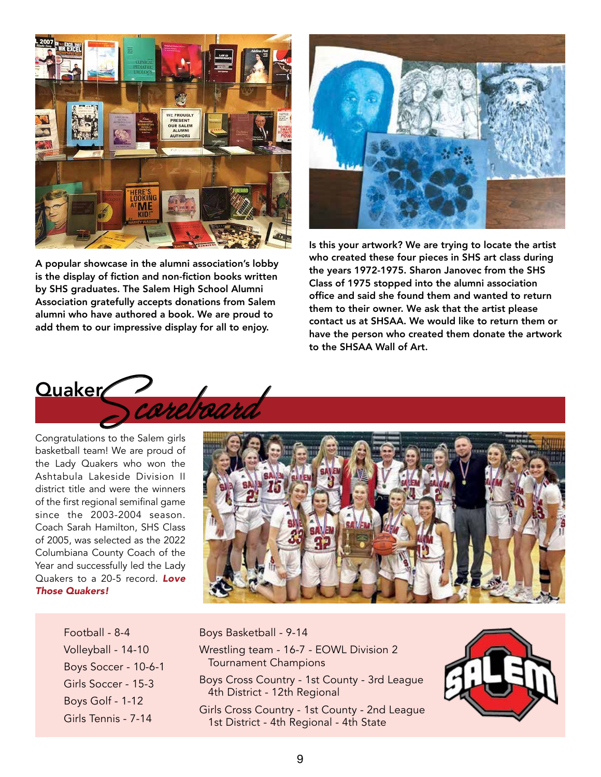

A popular showcase in the alumni association's lobby is the display of fiction and non-fiction books written by SHS graduates. The Salem High School Alumni Association gratefully accepts donations from Salem alumni who have authored a book. We are proud to add them to our impressive display for all to enjoy.



Is this your artwork? We are trying to locate the artist who created these four pieces in SHS art class during the years 1972-1975. Sharon Janovec from the SHS Class of 1975 stopped into the alumni association office and said she found them and wanted to return them to their owner. We ask that the artist please contact us at SHSAA. We would like to return them or have the person who created them donate the artwork to the SHSAA Wall of Art.



basketball team! We are proud of the Lady Quakers who won the Ashtabula Lakeside Division II district title and were the winners of the first regional semifinal game since the 2003-2004 season. Coach Sarah Hamilton, SHS Class of 2005, was selected as the 2022 Columbiana County Coach of the Year and successfully led the Lady Quakers to a 20-5 record. *Love Those Quakers!*



Football - 8-4 Volleyball - 14-10 Boys Soccer - 10-6-1 Girls Soccer - 15-3 Boys Golf - 1-12 Girls Tennis - 7-14

Boys Basketball - 9-14 Wrestling team - 16-7 - EOWL Division 2 Tournament Champions Boys Cross Country - 1st County - 3rd League

- 4th District 12th Regional
- Girls Cross Country 1st County 2nd League 1st District - 4th Regional - 4th State

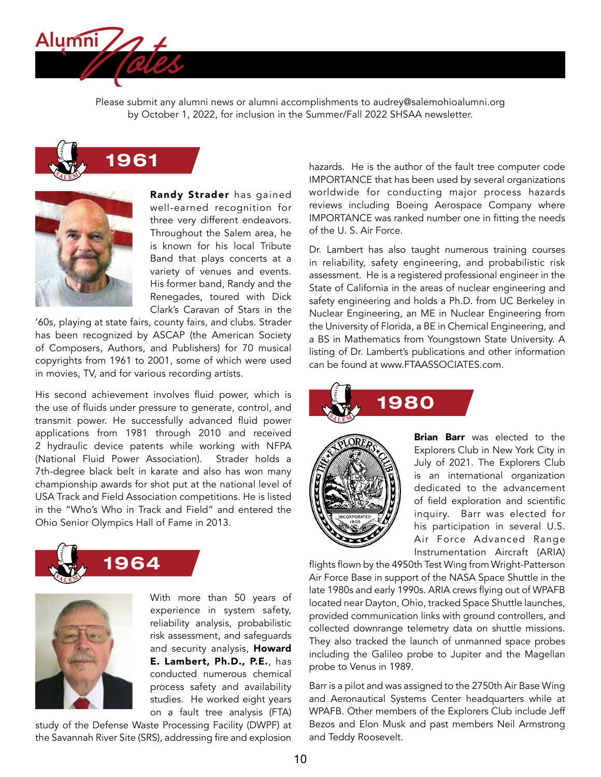

Please submit any alumni news or alumni accomplishments to audrey@salemohioalumni.org by October 1, 2022, for inclusion in the Summer/Fall 2022 SHSAA newsletter.





Randy Strader has gained well-earned recognition for three very different endeavors. Throughout the Salem area, he is known for his local Tribute Band that plays concerts at a variety of venues and events. His former band, Randy and the Renegades, toured with Dick Clark's Caravan of Stars in the

'60s, playing at state fairs, county fairs, and clubs. Strader has been recognized by ASCAP (the American Society of Composers, Authors, and Publishers) for 70 musical copyrights from 1961 to 2001, some of which were used in movies, TV, and for various recording artists.

His second achievement involves fluid power, which is the use of fluids under pressure to generate, control, and transmit power. He successfully advanced fluid power applications from 1981 through 2010 and received 2 hydraulic device patents while working with NFPA (National Fluid Power Association). Strader holds a 7th-degree black belt in karate and also has won many championship awards for shot put at the national level of USA Track and Field Association competitions. He is listed in the "Who's Who in Track and Field" and entered the Ohio Senior Olympics Hall of Fame in 2013.





With more than 50 years of experience in system safety, reliability analysis, probabilistic risk assessment, and safeguards and security analysis, Howard E. Lambert, Ph.D., P.E., has conducted numerous chemical process safety and availability studies. He worked eight years on a fault tree analysis (FTA)

study of the Defense Waste Processing Facility (DWPF) at the Savannah River Site (SRS), addressing fire and explosion

hazards. He is the author of the fault tree computer code IMPORTANCE that has been used by several organizations worldwide for conducting major process hazards reviews including Boeing Aerospace Company where IMPORTANCE was ranked number one in fitting the needs of the U. S. Air Force.

Dr. Lambert has also taught numerous training courses in reliability, safety engineering, and probabilistic risk assessment. He is a registered professional engineer in the State of California in the areas of nuclear engineering and safety engineering and holds a Ph.D. from UC Berkeley in Nuclear Engineering, an ME in Nuclear Engineering from the University of Florida, a BE in Chemical Engineering, and a BS in Mathematics from Youngstown State University. A listing of Dr. Lambert's publications and other information can be found at www.FTAASSOCIATES.com.





**Brian Barr** was elected to the Explorers Club in New York City in July of 2021. The Explorers Club is an international organization dedicated to the advancement of field exploration and scientific inquiry. Barr was elected for his participation in several U.S. Air Force Advanced Range Instrumentation Aircraft (ARIA)

flights flown by the 4950th Test Wing from Wright-Patterson Air Force Base in support of the NASA Space Shuttle in the late 1980s and early 1990s. ARIA crews flying out of WPAFB located near Dayton, Ohio, tracked Space Shuttle launches, provided communication links with ground controllers, and collected downrange telemetry data on shuttle missions. They also tracked the launch of unmanned space probes including the Galileo probe to Jupiter and the Magellan probe to Venus in 1989.

Barr is a pilot and was assigned to the 2750th Air Base Wing and Aeronautical Systems Center headquarters while at WPAFB. Other members of the Explorers Club include Jeff Bezos and Elon Musk and past members Neil Armstrong and Teddy Roosevelt.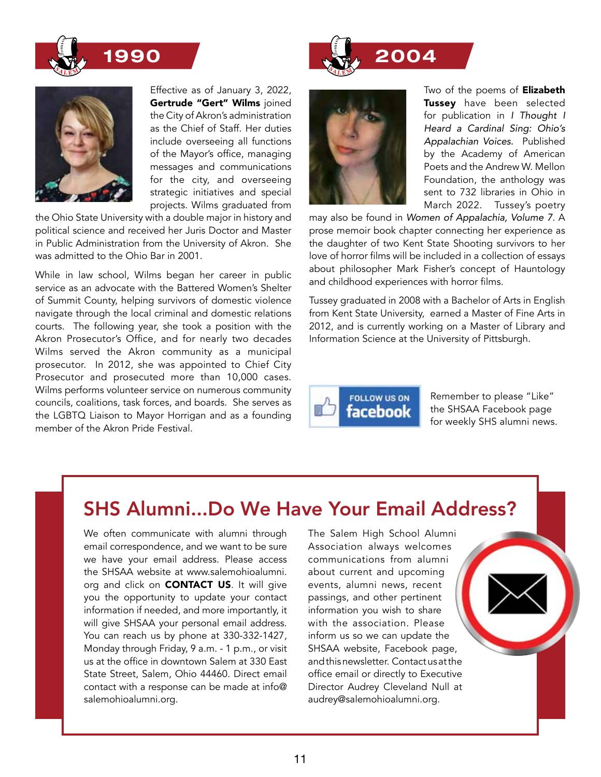



Effective as of January 3, 2022, Gertrude "Gert" Wilms joined the City of Akron's administration as the Chief of Staff. Her duties include overseeing all functions of the Mayor's office, managing messages and communications for the city, and overseeing strategic initiatives and special projects. Wilms graduated from

the Ohio State University with a double major in history and political science and received her Juris Doctor and Master in Public Administration from the University of Akron. She was admitted to the Ohio Bar in 2001.

While in law school, Wilms began her career in public service as an advocate with the Battered Women's Shelter of Summit County, helping survivors of domestic violence navigate through the local criminal and domestic relations courts. The following year, she took a position with the Akron Prosecutor's Office, and for nearly two decades Wilms served the Akron community as a municipal prosecutor. In 2012, she was appointed to Chief City Prosecutor and prosecuted more than 10,000 cases. Wilms performs volunteer service on numerous community councils, coalitions, task forces, and boards. She serves as the LGBTQ Liaison to Mayor Horrigan and as a founding member of the Akron Pride Festival.



Two of the poems of **Elizabeth** Tussey have been selected for publication in *I Thought I Heard a Cardinal Sing: Ohio's Appalachian Voices.* Published by the Academy of American Poets and the Andrew W. Mellon Foundation, the anthology was sent to 732 libraries in Ohio in March 2022. Tussey's poetry

may also be found in *Women of Appalachia, Volume 7*. A prose memoir book chapter connecting her experience as the daughter of two Kent State Shooting survivors to her love of horror films will be included in a collection of essays about philosopher Mark Fisher's concept of Hauntology and childhood experiences with horror films.

Tussey graduated in 2008 with a Bachelor of Arts in English from Kent State University, earned a Master of Fine Arts in 2012, and is currently working on a Master of Library and Information Science at the University of Pittsburgh.



Remember to please "Like" the SHSAA Facebook page for weekly SHS alumni news.

## SHS Alumni...Do We Have Your Email Address?

We often communicate with alumni through email correspondence, and we want to be sure we have your email address. Please access the SHSAA website at www.salemohioalumni. org and click on **CONTACT US**. It will give you the opportunity to update your contact information if needed, and more importantly, it will give SHSAA your personal email address. You can reach us by phone at 330-332-1427, Monday through Friday, 9 a.m. - 1 p.m., or visit us at the office in downtown Salem at 330 East State Street, Salem, Ohio 44460. Direct email contact with a response can be made at info@ salemohioalumni.org.

The Salem High School Alumni Association always welcomes communications from alumni about current and upcoming events, alumni news, recent passings, and other pertinent information you wish to share with the association. Please inform us so we can update the SHSAA website, Facebook page, and this newsletter. Contact us at the office email or directly to Executive Director Audrey Cleveland Null at audrey@salemohioalumni.org.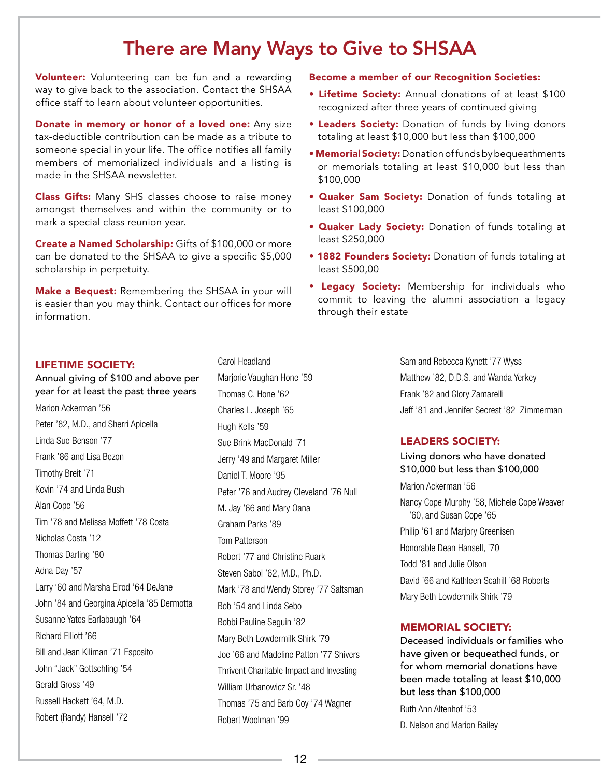## There are Many Ways to Give to SHSAA

Volunteer: Volunteering can be fun and a rewarding way to give back to the association. Contact the SHSAA office staff to learn about volunteer opportunities.

Donate in memory or honor of a loved one: Any size tax-deductible contribution can be made as a tribute to someone special in your life. The office notifies all family members of memorialized individuals and a listing is made in the SHSAA newsletter.

Class Gifts: Many SHS classes choose to raise money amongst themselves and within the community or to mark a special class reunion year.

Create a Named Scholarship: Gifts of \$100,000 or more can be donated to the SHSAA to give a specific \$5,000 scholarship in perpetuity.

Make a Bequest: Remembering the SHSAA in your will is easier than you may think. Contact our offices for more information.

## Become a member of our Recognition Societies:

- Lifetime Society: Annual donations of at least \$100 recognized after three years of continued giving
- Leaders Society: Donation of funds by living donors totaling at least \$10,000 but less than \$100,000
- Memorial Society: Donation of funds by bequeathments or memorials totaling at least \$10,000 but less than \$100,000
- Quaker Sam Society: Donation of funds totaling at least \$100,000
- Quaker Lady Society: Donation of funds totaling at least \$250,000
- 1882 Founders Society: Donation of funds totaling at least \$500,00
- Legacy Society: Membership for individuals who commit to leaving the alumni association a legacy through their estate

## LIFETIME SOCIETY:

Annual giving of \$100 and above per year for at least the past three years Marion Ackerman '56 Peter '82, M.D., and Sherri Apicella Linda Sue Benson '77 Frank '86 and Lisa Bezon Timothy Breit '71 Kevin '74 and Linda Bush Alan Cope '56 Tim '78 and Melissa Moffett '78 Costa Nicholas Costa '12 Thomas Darling '80 Adna Day '57 Larry '60 and Marsha Elrod '64 DeJane John '84 and Georgina Apicella '85 Dermotta Susanne Yates Earlabaugh '64 Richard Elliott '66 Bill and Jean Kiliman '71 Esposito John "Jack" Gottschling '54 Gerald Gross '49 Russell Hackett '64, M.D. Robert (Randy) Hansell '72

Marjorie Vaughan Hone '59 Thomas C. Hone '62 Charles L. Joseph '65 Hugh Kells '59 Sue Brink MacDonald '71 Jerry '49 and Margaret Miller Daniel T. Moore '95 Peter '76 and Audrey Cleveland '76 Null M. Jay '66 and Mary Oana Graham Parks '89 Tom Patterson Robert '77 and Christine Ruark Steven Sabol '62, M.D., Ph.D. Mark '78 and Wendy Storey '77 Saltsman Bob '54 and Linda Sebo Bobbi Pauline Seguin '82 Mary Beth Lowdermilk Shirk '79 Joe '66 and Madeline Patton '77 Shivers Thrivent Charitable Impact and Investing William Urbanowicz Sr. '48 Thomas '75 and Barb Coy '74 Wagner Robert Woolman '99

Carol Headland

Sam and Rebecca Kynett '77 Wyss Matthew '82, D.D.S. and Wanda Yerkey Frank '82 and Glory Zamarelli Jeff '81 and Jennifer Secrest '82 Zimmerman

## LEADERS SOCIETY:

Living donors who have donated \$10,000 but less than \$100,000

Marion Ackerman '56 Nancy Cope Murphy '58, Michele Cope Weaver '60, and Susan Cope '65 Philip '61 and Marjory Greenisen Honorable Dean Hansell, '70 Todd '81 and Julie Olson David '66 and Kathleen Scahill '68 Roberts Mary Beth Lowdermilk Shirk '79

## MEMORIAL SOCIETY:

Deceased individuals or families who have given or bequeathed funds, or for whom memorial donations have been made totaling at least \$10,000 but less than \$100,000

Ruth Ann Altenhof '53

D. Nelson and Marion Bailey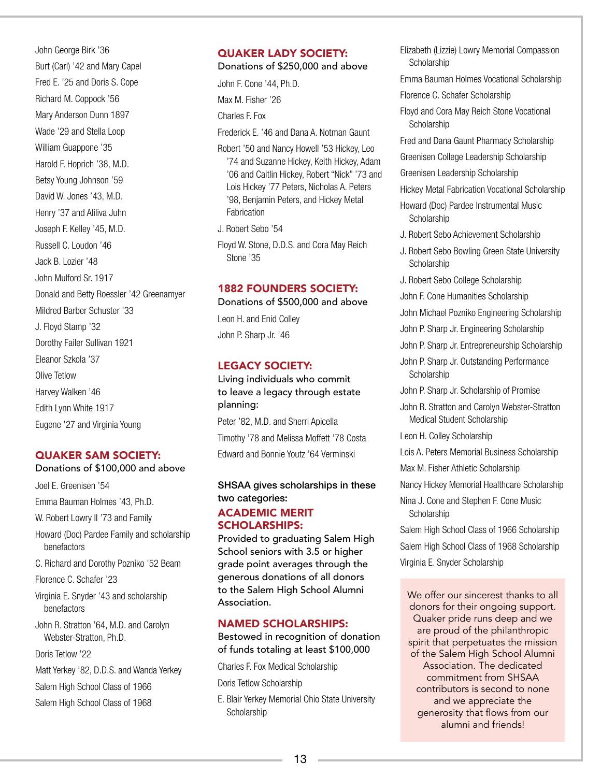John George Birk '36 Burt (Carl) '42 and Mary Capel Fred E. '25 and Doris S. Cope Richard M. Coppock '56 Mary Anderson Dunn 1897 Wade '29 and Stella Loop William Guappone '35 Harold F. Hoprich '38, M.D. Betsy Young Johnson '59 David W. Jones '43, M.D. Henry '37 and Aliliva Juhn Joseph F. Kelley '45, M.D. Russell C. Loudon '46 Jack B. Lozier '48 John Mulford Sr. 1917 Donald and Betty Roessler '42 Greenamyer Mildred Barber Schuster '33 J. Floyd Stamp '32 Dorothy Failer Sullivan 1921 Eleanor Szkola '37 Olive Tetlow Harvey Walken '46 Edith Lynn White 1917 Eugene '27 and Virginia Young

## QUAKER SAM SOCIETY:

## Donations of \$100,000 and above

Joel E. Greenisen '54 Emma Bauman Holmes '43, Ph.D.

W. Robert Lowry II '73 and Family

- Howard (Doc) Pardee Family and scholarship benefactors
- C. Richard and Dorothy Pozniko '52 Beam

Florence C. Schafer '23

- Virginia E. Snyder '43 and scholarship benefactors
- John R. Stratton '64, M.D. and Carolyn Webster-Stratton, Ph.D.

Doris Tetlow '22

- Matt Yerkey '82, D.D.S. and Wanda Yerkey
- Salem High School Class of 1966
- Salem High School Class of 1968

## QUAKER LADY SOCIETY:

## Donations of \$250,000 and above

John F. Cone '44, Ph.D. Max M. Fisher '26 Charles F. Fox Frederick E. '46 and Dana A. Notman Gaunt Robert '50 and Nancy Howell '53 Hickey, Leo '74 and Suzanne Hickey, Keith Hickey, Adam

- '06 and Caitlin Hickey, Robert "Nick" '73 and Lois Hickey '77 Peters, Nicholas A. Peters '98, Benjamin Peters, and Hickey Metal Fabrication
- J. Robert Sebo '54
- Floyd W. Stone, D.D.S. and Cora May Reich Stone '35

## 1882 FOUNDERS SOCIETY:

Donations of \$500,000 and above Leon H. and Enid Colley John P. Sharp Jr. '46

## LEGACY SOCIETY:

Living individuals who commit to leave a legacy through estate planning:

Peter '82, M.D. and Sherri Apicella Timothy '78 and Melissa Moffett '78 Costa Edward and Bonnie Youtz '64 Verminski

## SHSAA gives scholarships in these two categories:

## ACADEMIC MERIT SCHOLARSHIPS:

Provided to graduating Salem High School seniors with 3.5 or higher grade point averages through the generous donations of all donors to the Salem High School Alumni Association.

## NAMED SCHOLARSHIPS:

Bestowed in recognition of donation of funds totaling at least \$100,000

Charles F. Fox Medical Scholarship

Doris Tetlow Scholarship

E. Blair Yerkey Memorial Ohio State University **Scholarship** 

Elizabeth (Lizzie) Lowry Memorial Compassion **Scholarship** 

Emma Bauman Holmes Vocational Scholarship

Florence C. Schafer Scholarship

Floyd and Cora May Reich Stone Vocational Scholarship

Fred and Dana Gaunt Pharmacy Scholarship

Greenisen College Leadership Scholarship

Greenisen Leadership Scholarship

Hickey Metal Fabrication Vocational Scholarship

- Howard (Doc) Pardee Instrumental Music **Scholarship**
- J. Robert Sebo Achievement Scholarship
- J. Robert Sebo Bowling Green State University Scholarship
- J. Robert Sebo College Scholarship

John F. Cone Humanities Scholarship

John Michael Pozniko Engineering Scholarship

- John P. Sharp Jr. Engineering Scholarship
- John P. Sharp Jr. Entrepreneurship Scholarship
- John P. Sharp Jr. Outstanding Performance **Scholarship**

John P. Sharp Jr. Scholarship of Promise

John R. Stratton and Carolyn Webster-Stratton Medical Student Scholarship

Leon H. Colley Scholarship

Lois A. Peters Memorial Business Scholarship

Max M. Fisher Athletic Scholarship

Nancy Hickey Memorial Healthcare Scholarship

Nina J. Cone and Stephen F. Cone Music **Scholarship** 

Salem High School Class of 1966 Scholarship Salem High School Class of 1968 Scholarship

Virginia E. Snyder Scholarship

We offer our sincerest thanks to all donors for their ongoing support. Quaker pride runs deep and we are proud of the philanthropic spirit that perpetuates the mission of the Salem High School Alumni Association. The dedicated commitment from SHSAA contributors is second to none and we appreciate the generosity that flows from our alumni and friends!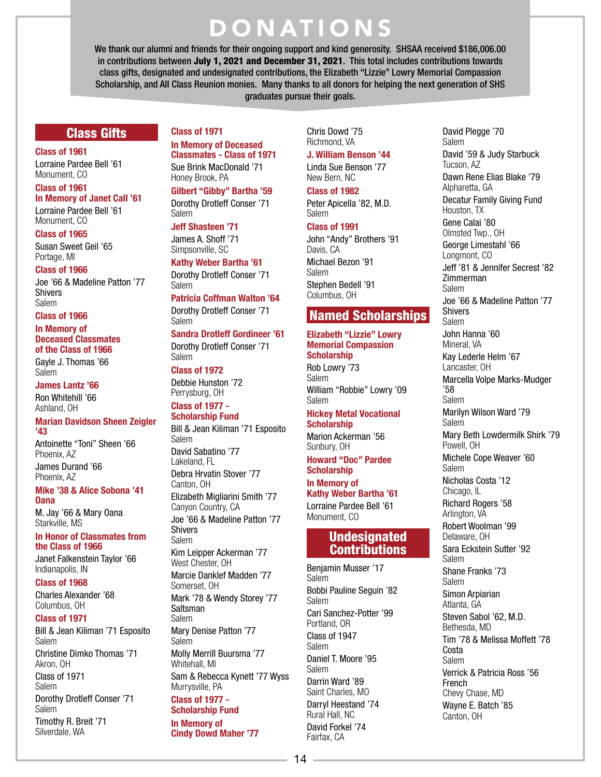# DONATIONS

We thank our alumni and friends for their ongoing support and kind generosity. SHSAA received \$186,006.00 in contributions between July 1, 2021 and December 31, 2021. This total includes contributions towards class gifts, designated and undesignated contributions, the Elizabeth "Lizzie" Lowry Memorial Compassion Scholarship, and All Class Reunion monies. Many thanks to all donors for helping the next generation of SHS graduates pursue their goals.

## Class Gifts

Class of 1961

Lorraine Pardee Bell '61 Monument, CO

## Class of 1961

In Memory of Janet Call '61 Lorraine Pardee Bell '61 Monument, CO

Class of 1965 Susan Sweet Geil '65 Portage, MI

## Class of 1966

Joe '66 & Madeline Patton '77 Shivers Salem

### Class of 1966

## In Memory of Deceased Classmates of the Class of 1966

Gayle J. Thomas '66 Salem

James Lantz '66 Ron Whitehill '66 Ashland, OH

#### Marian Davidson Sheen Zeigler '43

Antoinette "Toni" Sheen '66 Phoenix, AZ James Durand '66 Phoenix, AZ

### Mike '38 & Alice Sobona '41 **Oana**

M. Jay '66 & Mary Oana Starkville, MS

### In Honor of Classmates from the Class of 1966

Janet Falkenstein Taylor '66 Indianapolis, IN

Class of 1968

Charles Alexander '68 Columbus, OH

## Class of 1971

Bill & Jean Kiliman '71 Esposito Salem

Christine Dimko Thomas '71 Akron, OH

Class of 1971 Salem

Dorothy Drotleff Conser '71 Salem Timothy R. Breit '71 Silverdale, WA

## Class of 1971 In Memory of Deceased

Classmates - Class of 1971 Sue Brink MacDonald '71 Honey Brook, PA

Gilbert "Gibby" Bartha '59 Dorothy Drotleff Conser '71 Salem

## Jeff Shasteen '71

James A. Shoff '71 Simpsonville, SC

Kathy Weber Bartha '61 Dorothy Drotleff Conser '71 Salem

Patricia Coffman Walton '64 Dorothy Drotleff Conser '71 Salem

Sandra Drotleff Gordineer '61 Dorothy Drotleff Conser '71

Salem

## Class of 1972

Debbie Hunston '72 Perrysburg, OH

#### Class of 1977 - Scholarship Fund

Bill & Jean Kiliman '71 Esposito Salem David Sabatino '77 Lakeland, FL Debra Hrvatin Stover '77 Canton, OH Elizabeth Migliarini Smith '77 Canyon Country, CA Joe '66 & Madeline Patton '77 Shivers Salem Kim Leipper Ackerman '77 West Chester, OH Marcie Danklef Madden '77 Somerset, OH Mark '78 & Wendy Storey '77 **Saltsman** Salem Mary Denise Patton '77 Salem Molly Merrill Buursma '77 Whitehall, MI Sam & Rebecca Kynett '77 Wyss Murrysville, PA Class of 1977 - Scholarship Fund In Memory of Cindy Dowd Maher '77

Chris Dowd '75 Richmond, VA

## J. William Benson '44

Linda Sue Benson '77 New Bern, NC

Class of 1982

Peter Apicella '82, M.D. Salem

## Class of 1991

John "Andy" Brothers '91 Davis, CA Michael Bezon '91 Salem Stephen Bedell '91 Columbus, OH

## Named Scholarships

#### Elizabeth "Lizzie" Lowry Memorial Compassion **Scholarship**

Rob Lowry '73 Salem William "Robbie" Lowry '09 Salem

### Hickey Metal Vocational **Scholarship**

Marion Ackerman '56 Sunbury, OH

Howard "Doc" Pardee **Scholarship** 

## In Memory of

Kathy Weber Bartha '61 Lorraine Pardee Bell '61 Monument, CO

## Undesignated **Contributions**

Benjamin Musser '17 Salem Bobbi Pauline Seguin '82 Salem Cari Sanchez-Potter '99 Portland, OR Class of 1947 Salem Daniel T. Moore '95 Salem Darrin Ward '89 Saint Charles, MO Darryl Heestand '74 Rural Hall, NC David Forkel '74 Fairfax, CA

David Plegge '70 Salem David '59 & Judy Starbuck Tucson, AZ Dawn Rene Elias Blake '79 Alpharetta, GA Decatur Family Giving Fund Houston, TX Gene Calai '80 Olmsted Twp., OH George Limestahl '66 Longmont, CO Jeff '81 & Jennifer Secrest '82 Zimmerman Salem Joe '66 & Madeline Patton '77 Shivers Salem John Hanna '60 Mineral, VA Kay Lederle Helm '67 Lancaster, OH Marcella Volpe Marks-Mudger '58 Salem Marilyn Wilson Ward '79 Salem Mary Beth Lowdermilk Shirk '79 Powell, OH Michele Cope Weaver '60 Salem Nicholas Costa '12 Chicago, IL Richard Rogers '58 Arlington, VA Robert Woolman '99 Delaware, OH Sara Eckstein Sutter '92 Salem Shane Franks '73 Salem Simon Arpiarian Atlanta, GA Steven Sabol '62, M.D. Bethesda, MD Tim '78 & Melissa Moffett '78 Costa Salem Verrick & Patricia Ross '56 French Chevy Chase, MD Wayne E. Batch '85 Canton, OH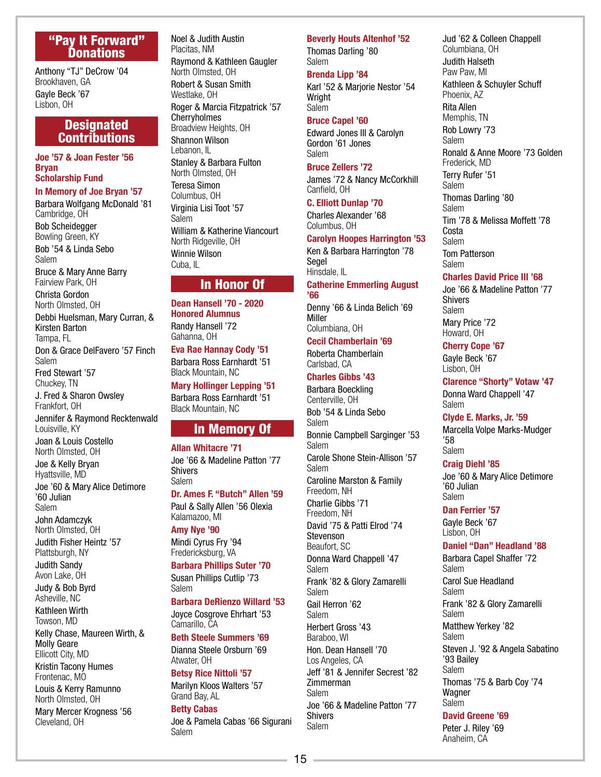## "Pay It Forward" **Donations**

Anthony "TJ" DeCrow '04 Brookhaven, GA Gayle Beck '67 Lisbon, OH

## **Designated Contributions**

Joe '57 & Joan Fester '56 Bryan Scholarship Fund

In Memory of Joe Bryan '57 Barbara Wolfgang McDonald '81 Cambridge, OH Bob Scheidegger Bowling Green, KY Bob '54 & Linda Sebo Salem Bruce & Mary Anne Barry Fairview Park, OH Christa Gordon North Olmsted, OH Debbi Huelsman, Mary Curran, & Kirsten Barton Tampa, FL Don & Grace DelFavero '57 Finch Salem

Fred Stewart '57 Chuckey, TN

J. Fred & Sharon Owsley Frankfort, OH

Jennifer & Raymond Recktenwald Louisville, KY Joan & Louis Costello

North Olmsted, OH Joe & Kelly Bryan Hyattsville, MD

Joe '60 & Mary Alice Detimore '60 Julian Salem

John Adamczyk North Olmsted, OH

Judith Fisher Heintz '57 Plattsburgh, NY

Judith Sandy Avon Lake, OH

Judy & Bob Byrd Asheville, NC

Kathleen Wirth

Towson, MD Kelly Chase, Maureen Wirth, & Molly Geare Ellicott City, MD

Kristin Tacony Humes Frontenac, MO

Louis & Kerry Ramunno North Olmsted, OH

Mary Mercer Krogness '56 Cleveland, OH

Noel & Judith Austin Placitas, NM Raymond & Kathleen Gaugler North Olmsted, OH Robert & Susan Smith Westlake, OH Roger & Marcia Fitzpatrick '57 **Cherryholmes** Broadview Heights, OH Shannon Wilson Lebanon, IL Stanley & Barbara Fulton North Olmsted, OH Teresa Simon Columbus, OH Virginia Lisi Toot '57 Salem William & Katherine Viancourt North Ridgeville, OH Winnie Wilson

## Cuba, IL In Honor Of

## Dean Hansell '70 - 2020 Honored Alumnus Randy Hansell '72 Gahanna, OH

Eva Rae Hannay Cody '51

Barbara Ross Earnhardt '51 Black Mountain, NC

Mary Hollinger Lepping '51 Barbara Ross Earnhardt '51 Black Mountain, NC

## In Memory Of

Allan Whitacre '71 Joe '66 & Madeline Patton '77 Shivers Salem

Dr. Ames F. "Butch" Allen '59

Paul & Sally Allen '56 Olexia Kalamazoo, MI

Amy Nye '90 Mindi Cyrus Fry '94 Fredericksburg, VA

Barbara Phillips Suter '70 Susan Phillips Cutlip '73 Salem

Barbara DeRienzo Willard '53

Joyce Cosgrove Ehrhart '53 Camarillo, CA

Beth Steele Summers '69 Dianna Steele Orsburn '69 Atwater, OH

Betsy Rice Nittoli '57

Marilyn Kloos Walters '57 Grand Bay, AL

## Betty Cabas

Joe & Pamela Cabas '66 Sigurani Salem

## Beverly Houts Altenhof '52

Thomas Darling '80 Salem

Brenda Lipp '84

Karl '52 & Marjorie Nestor '54 Wright Salem

## Bruce Capel '60

Edward Jones III & Carolyn Gordon '61 Jones Salem

Bruce Zellers '72

James '72 & Nancy McCorkhill Canfield, OH

C. Elliott Dunlap '70

Charles Alexander '68 Columbus, OH

## Carolyn Hoopes Harrington '53

Ken & Barbara Harrington '78 **Segel** Hinsdale, IL

Catherine Emmerling August

'66 Denny '66 & Linda Belich '69 Miller Columbiana, OH

Cecil Chamberlain '69

Roberta Chamberlain Carlsbad, CA

## Charles Gibbs '43

Barbara Boeckling Centerville, OH Bob '54 & Linda Sebo Salem Bonnie Campbell Sarginger '53 Salem Carole Shone Stein-Allison '57 Salem Caroline Marston & Family Freedom, NH Charlie Gibbs '71 Freedom, NH David '75 & Patti Elrod '74 Stevenson Beaufort, SC Donna Ward Chappell '47 Salem Frank '82 & Glory Zamarelli Salem Gail Herron '62 Salem Herbert Gross '43 Baraboo, WI Hon. Dean Hansell '70 Los Angeles, CA Jeff '81 & Jennifer Secrest '82 Zimmerman Salem Joe '66 & Madeline Patton '77 Shivers Salem

Jud '62 & Colleen Chappell Columbiana, OH Judith Halseth Paw Paw, MI Kathleen & Schuyler Schuff Phoenix, AZ Rita Allen Memphis, TN Rob Lowry '73 Salem Ronald & Anne Moore '73 Golden Frederick, MD Terry Rufer '51 Salem Thomas Darling '80 Salem Tim '78 & Melissa Moffett '78 Costa Salem Tom Patterson Salem

Charles David Price III '68

Joe '66 & Madeline Patton '77 Shivers Salem Mary Price '72 Howard, OH

## Cherry Cope '67

Gayle Beck '67 Lisbon, OH

Clarence "Shorty" Votaw '47 Donna Ward Chappell '47 Salem

## Clyde E. Marks, Jr. '59

Marcella Volpe Marks-Mudger '58 Salem

## Craig Diehl '85

Joe '60 & Mary Alice Detimore '60 Julian Salem

## Dan Ferrier '57

Gayle Beck '67 Lisbon, OH

## Daniel "Dan" Headland '88

Barbara Capel Shaffer '72 Salem Carol Sue Headland Salem Frank '82 & Glory Zamarelli Salem Matthew Yerkey '82 Salem Steven J. '92 & Angela Sabatino '93 Bailey Salem Thomas '75 & Barb Coy '74 Wagner Salem

## David Greene '69

Peter J. Riley '69 Anaheim, CA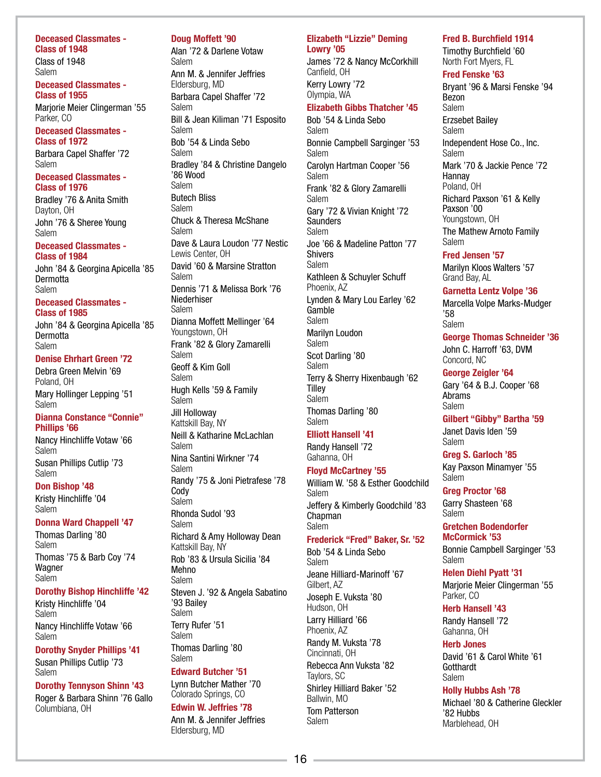Deceased Classmates - Class of 1948 Class of 1948 Salem

Deceased Classmates - Class of 1955

Marjorie Meier Clingerman '55 Parker, CO

Deceased Classmates - Class of 1972

Barbara Capel Shaffer '72 Salem

## Deceased Classmates - Class of 1976

Bradley '76 & Anita Smith Dayton, OH John '76 & Sheree Young Salem

Deceased Classmates - Class of 1984

John '84 & Georgina Apicella '85 **Dermotta** Salem

### Deceased Classmates - Class of 1985

John '84 & Georgina Apicella '85 **Dermotta** Salem

## Denise Ehrhart Green '72

Debra Green Melvin '69 Poland, OH Mary Hollinger Lepping '51 Salem

#### Dianna Constance "Connie" Phillips '66

Nancy Hinchliffe Votaw '66 Salem Susan Phillips Cutlip '73 Salem

## Don Bishop '48

Kristy Hinchliffe '04 Salem

## Donna Ward Chappell '47

Thomas Darling '80 Salem Thomas '75 & Barb Coy '74 Wagner Salem

### Dorothy Bishop Hinchliffe '42

Kristy Hinchliffe '04 Salem Nancy Hinchliffe Votaw '66 Salem

Dorothy Snyder Phillips '41 Susan Phillips Cutlip '73 Salem

## Dorothy Tennyson Shinn '43

Roger & Barbara Shinn '76 Gallo Columbiana, OH

## Doug Moffett '90

Alan '72 & Darlene Votaw Salem Ann M. & Jennifer Jeffries Eldersburg, MD Barbara Capel Shaffer '72 Salem Bill & Jean Kiliman '71 Esposito Salem Bob '54 & Linda Sebo Salem Bradley '84 & Christine Dangelo '86 Wood Salem Butech Bliss Salem Chuck & Theresa McShane Salem Dave & Laura Loudon '77 Nestic Lewis Center, OH David '60 & Marsine Stratton Salem Dennis '71 & Melissa Bork '76 Niederhiser Salem Dianna Moffett Mellinger '64 Youngstown, OH Frank '82 & Glory Zamarelli Salem Geoff & Kim Goll Salem Hugh Kells '59 & Family Salem Jill Holloway Kattskill Bay, NY Neill & Katharine McLachlan Salem Nina Santini Wirkner '74 Salem Randy '75 & Joni Pietrafese '78 **Cody** Salem Rhonda Sudol '93 Salem Richard & Amy Holloway Dean Kattskill Bay, NY Rob '83 & Ursula Sicilia '84 Mehno Salem Steven J. '92 & Angela Sabatino '93 Bailey Salem Terry Rufer '51 Salem Thomas Darling '80 Salem

## Edward Butcher '51

Lynn Butcher Mather '70 Colorado Springs, CO

## Edwin W. Jeffries '78

Ann M. & Jennifer Jeffries Eldersburg, MD

## Elizabeth "Lizzie" Deming Lowry '05

James '72 & Nancy McCorkhill Canfield, OH Kerry Lowry '72 Olympia, WA

## Elizabeth Gibbs Thatcher '45

Bob '54 & Linda Sebo Salem Bonnie Campbell Sarginger '53 Salem Carolyn Hartman Cooper '56 Salem Frank '82 & Glory Zamarelli Salem Gary '72 & Vivian Knight '72 **Saunders** Salem Joe '66 & Madeline Patton '77 Shivers Salem Kathleen & Schuyler Schuff Phoenix, AZ Lynden & Mary Lou Earley '62 Gamble Salem Marilyn Loudon Salem Scot Darling '80 Salem Terry & Sherry Hixenbaugh '62 **Tilley** Salem Thomas Darling '80 Salem

## Elliott Hansell '41

Randy Hansell '72 Gahanna, OH

## Floyd McCartney '55

William W. '58 & Esther Goodchild Salem Jeffery & Kimberly Goodchild '83 **Chapman** Salem

## Frederick "Fred" Baker, Sr. '52

Bob '54 & Linda Sebo Salem Jeane Hilliard-Marinoff '67 Gilbert, AZ Joseph E. Vuksta '80 Hudson, OH Larry Hilliard '66 Phoenix, AZ Randy M. Vuksta '78 Cincinnati, OH Rebecca Ann Vuksta '82 Taylors, SC Shirley Hilliard Baker '52 Ballwin, MO Tom Patterson Salem

## Fred B. Burchfield 1914

Timothy Burchfield '60 North Fort Myers, FL

## Fred Fenske '63

Bryant '96 & Marsi Fenske '94 Bezon Salem Erzsebet Bailey Salem Independent Hose Co., Inc. Salem Mark '70 & Jackie Pence '72 Hannay Poland, OH Richard Paxson '61 & Kelly Paxson '00 Youngstown, OH The Mathew Arnoto Family Salem

### Fred Jensen '57

Marilyn Kloos Walters '57 Grand Bay, AL

Garnetta Lentz Volpe '36 Marcella Volpe Marks-Mudger

'58 Salem

### George Thomas Schneider '36 John C. Harroff '63, DVM Concord, NC

George Zeigler '64 Gary '64 & B.J. Cooper '68 Abrams Salem

## Gilbert "Gibby" Bartha '59

Janet Davis Iden '59 Salem

Greg S. Garloch '85 Kay Paxson Minamyer '55 Salem

Greg Proctor '68

Garry Shasteen '68 Salem

Gretchen Bodendorfer McCormick '53

Bonnie Campbell Sarginger '53 Salem

Helen Diehl Pyatt '31 Marjorie Meier Clingerman '55 Parker, CO

## Herb Hansell '43

Randy Hansell '72 Gahanna, OH

### Herb Jones

David '61 & Carol White '61 Gotthardt Salem

## Holly Hubbs Ash '78

Michael '80 & Catherine Gleckler '82 Hubbs Marblehead, OH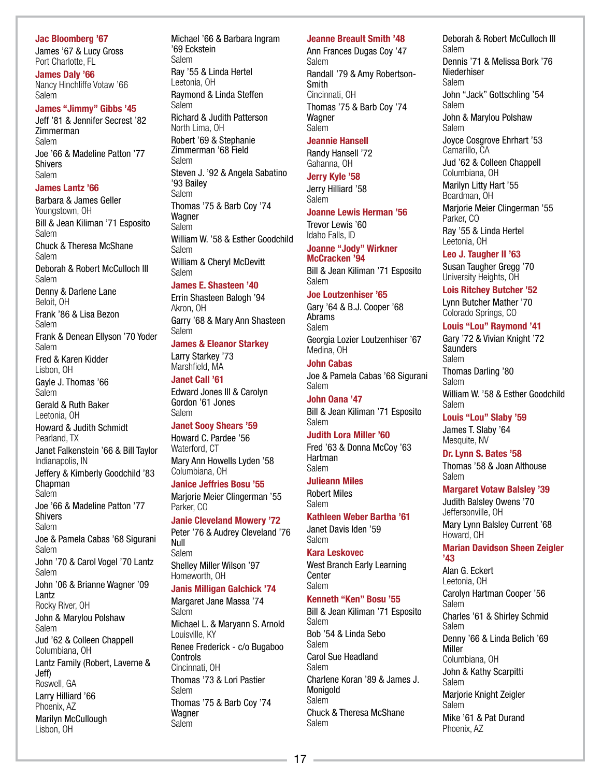## Jac Bloomberg '67

James '67 & Lucy Gross Port Charlotte, FL

James Daly '66 Nancy Hinchliffe Votaw '66 Salem

### James "Jimmy" Gibbs '45

Jeff '81 & Jennifer Secrest '82 Zimmerman Salem Joe '66 & Madeline Patton '77 Shivers Salem

#### James Lantz '66

Barbara & James Geller Youngstown, OH Bill & Jean Kiliman '71 Esposito Salem Chuck & Theresa McShane Salem Deborah & Robert McCulloch III Salem

Denny & Darlene Lane Beloit, OH

Frank '86 & Lisa Bezon Salem

Frank & Denean Ellyson '70 Yoder Salem Fred & Karen Kidder

Lisbon, OH Gayle J. Thomas '66 Salem Gerald & Ruth Baker Leetonia, OH

Howard & Judith Schmidt Pearland, TX

Janet Falkenstein '66 & Bill Taylor Indianapolis, IN

Jeffery & Kimberly Goodchild '83 **Chapman** Salem

Joe '66 & Madeline Patton '77 Shivers Salem

Joe & Pamela Cabas '68 Sigurani Salem John '70 & Carol Vogel '70 Lantz

Salem John '06 & Brianne Wagner '09 Lantz Rocky River, OH

John & Marylou Polshaw Salem Jud '62 & Colleen Chappell

Columbiana, OH Lantz Family (Robert, Laverne & Jeff) Roswell, GA

Larry Hilliard '66 Phoenix, AZ Marilyn McCullough

Lisbon, OH

## Michael '66 & Barbara Ingram '69 Eckstein Salem Ray '55 & Linda Hertel Leetonia, OH Raymond & Linda Steffen Salem Richard & Judith Patterson

North Lima, OH Robert '69 & Stephanie Zimmerman '68 Field Salem Steven J. '92 & Angela Sabatino '93 Bailey Salem Thomas '75 & Barb Coy '74 **Wagner** Salem William W. '58 & Esther Goodchild Salem William & Cheryl McDevitt Salem

#### James E. Shasteen '40

Errin Shasteen Balogh '94 Akron, OH Garry '68 & Mary Ann Shasteen Salem

James & Eleanor Starkey

Larry Starkey '73 Marshfield, MA

Janet Call '61 Edward Jones III & Carolyn Gordon '61 Jones Salem

## Janet Sooy Shears '59

Howard C. Pardee '56 Waterford, CT Mary Ann Howells Lyden '58 Columbiana, OH

### Janice Jeffries Bosu '55

Marjorie Meier Clingerman '55 Parker, CO

## Janie Cleveland Mowery '72

Peter '76 & Audrey Cleveland '76 Null Salem Shelley Miller Wilson '97 Homeworth, OH

## Janis Milligan Galchick '74

Margaret Jane Massa '74 Salem Michael L. & Maryann S. Arnold Louisville, KY Renee Frederick - c/o Bugaboo Controls Cincinnati, OH Thomas '73 & Lori Pastier Salem Thomas '75 & Barb Coy '74 **Wagner** Salem

## Jeanne Breault Smith '48

Ann Frances Dugas Coy '47 Salem Randall '79 & Amy Robertson-**Smith** Cincinnati, OH Thomas '75 & Barb Coy '74 Wagner Salem

#### Jeannie Hansell

Randy Hansell '72 Gahanna, OH

Jerry Kyle '58 Jerry Hilliard '58

Salem Joanne Lewis Herman '56 Trevor Lewis '60 Idaho Falls, ID

Joanne "Jody" Wirkner McCracken '94 Bill & Jean Kiliman '71 Esposito

## Salem

## Joe Loutzenhiser '65

Gary '64 & B.J. Cooper '68 Abrams Salem Georgia Lozier Loutzenhiser '67

Medina, OH John Cabas

Joe & Pamela Cabas '68 Sigurani Salem

## John Oana '47

Bill & Jean Kiliman '71 Esposito Salem

## Judith Lora Miller '60

Fred '63 & Donna McCoy '63 Hartman Salem

### Julieann Miles

Robert Miles Salem

Kathleen Weber Bartha '61 Janet Davis Iden '59

Salem

## Kara Leskovec West Branch Early Learning

**Center** Salem

## Kenneth "Ken" Bosu '55

Bill & Jean Kiliman '71 Esposito Salem Bob '54 & Linda Sebo Salem Carol Sue Headland Salem Charlene Koran '89 & James J. **Monigold** Salem Chuck & Theresa McShane Salem

Deborah & Robert McCulloch III Salem Dennis '71 & Melissa Bork '76 Niederhiser Salem John "Jack" Gottschling '54 Salem John & Marylou Polshaw Salem Joyce Cosgrove Ehrhart '53 Camarillo, CA Jud '62 & Colleen Chappell Columbiana, OH Marilyn Litty Hart '55 Boardman, OH Marjorie Meier Clingerman '55 Parker, CO Ray '55 & Linda Hertel Leetonia, OH

## Leo J. Taugher II '63

Susan Taugher Gregg '70 University Heights, OH

## Lois Ritchey Butcher '52

Lynn Butcher Mather '70 Colorado Springs, CO

## Louis "Lou" Raymond '41

Gary '72 & Vivian Knight '72 **Saunders** Salem Thomas Darling '80 Salem William W. '58 & Esther Goodchild Salem

## Louis "Lou" Slaby '59

James T. Slaby '64 Mesquite, NV

## Dr. Lynn S. Bates '58

Thomas '58 & Joan Althouse Salem

### Margaret Votaw Balsley '39

Judith Balsley Owens '70 Jeffersonville, OH Mary Lynn Balsley Current '68 Howard, OH

## Marian Davidson Sheen Zeigler '43

Alan G. Eckert Leetonia, OH Carolyn Hartman Cooper '56 Salem Charles '61 & Shirley Schmid Salem Denny '66 & Linda Belich '69 Miller Columbiana, OH John & Kathy Scarpitti Salem Marjorie Knight Zeigler Salem Mike '61 & Pat Durand Phoenix, AZ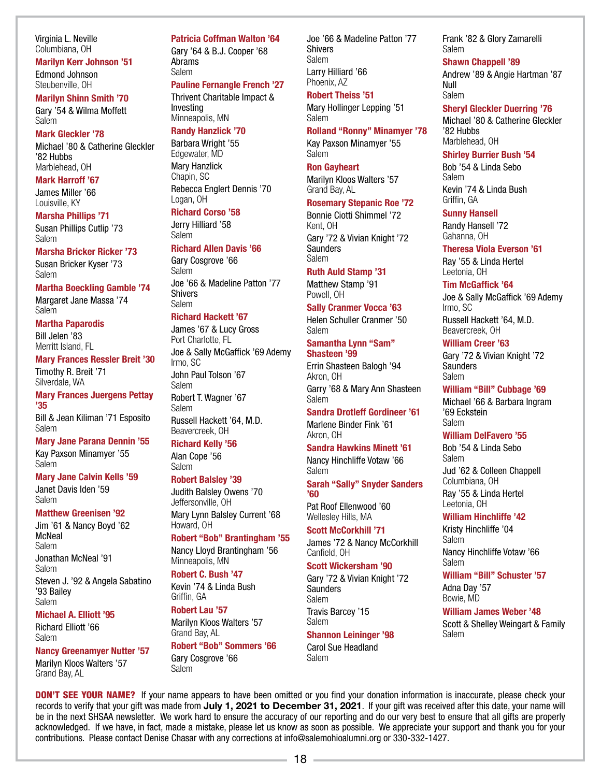Virginia L. Neville Columbiana, OH

Marilyn Kerr Johnson '51 Edmond Johnson Steubenville, OH

#### Marilyn Shinn Smith '70

Gary '54 & Wilma Moffett Salem

## Mark Gleckler '78

Michael '80 & Catherine Gleckler '82 Hubbs Marblehead, OH

Mark Harroff '67 James Miller '66 Louisville, KY

### Marsha Phillips '71

Susan Phillips Cutlip '73 Salem

### Marsha Bricker Ricker '73 Susan Bricker Kyser '73

Salem

Martha Boeckling Gamble '74 Margaret Jane Massa '74

Salem

Martha Paparodis Bill Jelen '83 Merritt Island, FL

Mary Frances Ressler Breit '30

Timothy R. Breit '71 Silverdale, WA

Mary Frances Juergens Pettay '35

Bill & Jean Kiliman '71 Esposito Salem

Mary Jane Parana Dennin '55 Kay Paxson Minamyer '55 Salem

## Mary Jane Calvin Kells '59

Janet Davis Iden '59 Salem

## Matthew Greenisen '92

Jim '61 & Nancy Boyd '62 **McNeal** Salem Jonathan McNeal '91 Salem Steven J. '92 & Angela Sabatino '93 Bailey Salem

## Michael A. Elliott '95

Richard Elliott '66 Salem

Nancy Greenamyer Nutter '57 Marilyn Kloos Walters '57 Grand Bay, AL

#### Patricia Coffman Walton '64

Gary '64 & B.J. Cooper '68 Abrams Salem

## Pauline Fernangle French '27

Thrivent Charitable Impact & Investing Minneapolis, MN

## Randy Hanzlick '70

Barbara Wright '55 Edgewater, MD Mary Hanzlick Chapin, SC Rebecca Englert Dennis '70 Logan, OH

## Richard Corso '58

Jerry Hilliard '58 Salem

### Richard Allen Davis '66

Gary Cosgrove '66 Salem Joe '66 & Madeline Patton '77 Shivers Salem

## Richard Hackett '67

James '67 & Lucy Gross Port Charlotte, FL Joe & Sally McGaffick '69 Ademy Irmo, SC John Paul Tolson '67 Salem Robert T. Wagner '67 Salem Russell Hackett '64, M.D. Beavercreek, OH

### Richard Kelly '56

Alan Cope '56 Salem

### Robert Balsley '39

Judith Balsley Owens '70 Jeffersonville, OH Mary Lynn Balsley Current '68 Howard, OH

### Robert "Bob" Brantingham '55 Nancy Lloyd Brantingham '56

Minneapolis, MN

Robert C. Bush '47 Kevin '74 & Linda Bush

## Griffin, GA Robert Lau '57

Marilyn Kloos Walters '57 Grand Bay, AL Robert "Bob" Sommers '66

Gary Cosgrove '66 Salem

contributions. Please contact Denise Chasar with any corrections at info@salemohioalumni.org or 330-332-1427.

Joe '66 & Madeline Patton '77 Shivers Salem Larry Hilliard '66 Phoenix, AZ

## Robert Theiss '51

Mary Hollinger Lepping '51 Salem

## Rolland "Ronny" Minamyer '78

Kay Paxson Minamyer '55

#### Salem

Ron Gayheart Marilyn Kloos Walters '57 Grand Bay, AL

### Rosemary Stepanic Roe '72

Bonnie Ciotti Shimmel '72 Kent, OH Gary '72 & Vivian Knight '72 **Saunders** Salem

#### Ruth Auld Stamp '31

Matthew Stamp '91 Powell, OH

## Sally Cranmer Vocca '63

Helen Schuller Cranmer '50 Salem

Samantha Lynn "Sam" Shasteen '99

Errin Shasteen Balogh '94 Akron, OH Garry '68 & Mary Ann Shasteen

Salem Sandra Drotleff Gordineer '61

Marlene Binder Fink '61 Akron, OH

Sandra Hawkins Minett '61 Nancy Hinchliffe Votaw '66 Salem

Sarah "Sally" Snyder Sanders '60

Pat Roof Ellenwood '60 Wellesley Hills, MA

## Scott McCorkhill '71

James '72 & Nancy McCorkhill Canfield, OH

## Scott Wickersham '90

Gary '72 & Vivian Knight '72 **Saunders** Salem Travis Barcey '15 Salem

## Shannon Leininger '98

Carol Sue Headland Salem

 $18 -$ 

DON'T SEE YOUR NAME? If your name appears to have been omitted or you find your donation information is inaccurate, please check your records to verify that your gift was made from July 1, 2021 to December 31, 2021. If your gift was received after this date, your name will be in the next SHSAA newsletter. We work hard to ensure the accuracy of our reporting and do our very best to ensure that all gifts are properly acknowledged. If we have, in fact, made a mistake, please let us know as soon as possible. We appreciate your support and thank you for your

## Frank '82 & Glory Zamarelli Salem

### Shawn Chappell '89

Andrew '89 & Angie Hartman '87 Null Salem

### Sheryl Gleckler Duerring '76

Michael '80 & Catherine Gleckler '82 Hubbs Marblehead, OH

#### Shirley Burrier Bush '54

Bob '54 & Linda Sebo Salem Kevin '74 & Linda Bush Griffin, GA

#### Sunny Hansell

Randy Hansell '72 Gahanna, OH

## Theresa Viola Everson '61

Ray '55 & Linda Hertel Leetonia, OH

## Tim McGaffick '64

Joe & Sally McGaffick '69 Ademy Irmo, SC Russell Hackett '64, M.D.

Beavercreek, OH

## William Creer '63

Gary '72 & Vivian Knight '72 **Saunders** Salem

## William "Bill" Cubbage '69

Michael '66 & Barbara Ingram '69 Eckstein Salem

### William DelFavero '55

Bob '54 & Linda Sebo Salem Jud '62 & Colleen Chappell Columbiana, OH Ray '55 & Linda Hertel Leetonia, OH

## William Hinchliffe '42

Kristy Hinchliffe '04 **Salem** Nancy Hinchliffe Votaw '66 Salem

## William "Bill" Schuster '57

Adna Day '57 Bowie, MD

#### William James Weber '48

Scott & Shelley Weingart & Family Salem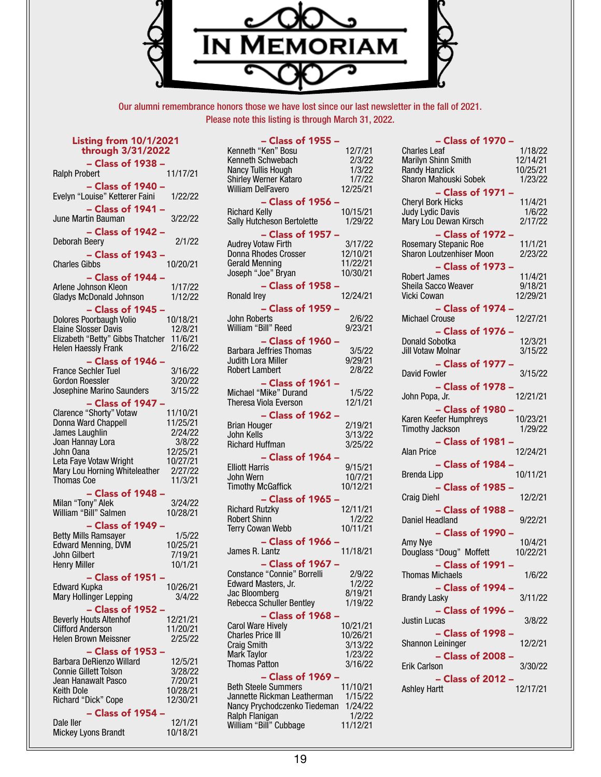

Our alumni remembrance honors those we have lost since our last newsletter in the fall of 2021. Please note this listing is through March 31, 2022.

| <b>Listing from 10/1/2021</b><br>through 3/31/2022                                                                                                       |                                                       |  |  |  |
|----------------------------------------------------------------------------------------------------------------------------------------------------------|-------------------------------------------------------|--|--|--|
| - Class of 1938 -<br><b>Ralph Probert</b>                                                                                                                | 11/17/21                                              |  |  |  |
| - Class of 1940 -<br>Evelyn "Louise" Ketterer Faini                                                                                                      | 1/22/22                                               |  |  |  |
| - Class of 1941 -<br>June Martin Bauman                                                                                                                  | 3/22/22                                               |  |  |  |
| - Class of 1942 -<br>Deborah Beery                                                                                                                       | 2/1/22                                                |  |  |  |
| $-$ Class of 1943 $-$<br><b>Charles Gibbs</b>                                                                                                            | 10/20/21                                              |  |  |  |
| - Class of 1944 -<br>Arlene Johnson Kleon<br><b>Gladys McDonald Johnson</b>                                                                              | 1/17/22<br>1/12/22                                    |  |  |  |
| - Class of 1945<br><b>Dolores Poorbaugh Volio</b><br><b>Elaine Slosser Davis</b><br>Elizabeth "Betty" Gibbs Thatcher<br><b>Helen Haessly Frank</b>       | 10/18/21<br>12/8/21<br>11/6/21<br>2/16/22             |  |  |  |
| - Class of 1946 -<br><b>France Sechler Tuel</b><br><b>Gordon Roessler</b><br>Josephine Marino Saunders                                                   | 3/16/22<br>3/20/22<br>3/15/22                         |  |  |  |
| - Class of 1947<br>Clarence "Shorty" Votaw<br>Donna Ward Chappell<br>James Laughlin<br>Joan Hannay Lora<br>John Oana                                     | 11/10/21<br>11/25/21<br>2/24/22<br>3/8/22<br>12/25/21 |  |  |  |
| Leta Faye Votaw Wright<br>Mary Lou Horning Whiteleather<br><b>Thomas Coe</b>                                                                             | 10/27/21<br>2/27/22<br>11/3/21                        |  |  |  |
| $-$ Class of 1948 $\cdot$<br>Milan "Tony" Alek<br>William "Bill" Salmen                                                                                  | 3/24/22<br>10/28/21                                   |  |  |  |
| $-$ Class of 1949 $\cdot$<br><b>Betty Mills Ramsayer</b><br><b>Edward Menning, DVM</b><br>John Gilbert<br><b>Henry Miller</b>                            | 1/5/22<br>10/25/21<br>7/19/21<br>10/1/21              |  |  |  |
| Class of 1951<br>Edward Kupka<br>Mary Hollinger Lepping<br>- Class of 1952                                                                               | 10/26/21<br>3/4/22                                    |  |  |  |
| <b>Beverly Houts Altenhof</b><br><b>Clifford Anderson</b><br><b>Helen Brown Meissner</b>                                                                 | 12/21/21<br>11/20/21<br>2/25/22                       |  |  |  |
| $-$ Class of 1953 $\cdot$<br>Barbara DeRienzo Willard<br><b>Connie Gillett Tolson</b><br>Jean Hanawalt Pasco<br><b>Keith Dole</b><br>Richard "Dick" Cope | 12/5/21<br>3/28/22<br>7/20/21<br>10/28/21<br>12/30/21 |  |  |  |
| - Class of 1954<br>Dale ller<br>Mickey Lyons Brandt                                                                                                      | 12/1/21<br>10/18/21                                   |  |  |  |

| $-$ Class of 1955 $\cdot$                    |                    |
|----------------------------------------------|--------------------|
| Kenneth "Ken" Bosu                           | 12/7/21            |
| Kenneth Schwebach                            | 2/3/22             |
| Nancy Tullis Hough                           | 1/3/22             |
| Shirley Werner Kataro                        | 1/7/22             |
| <b>William DelFavero</b>                     | 12/25/21           |
|                                              |                    |
| $-$ Class of 1956                            |                    |
| <b>Richard Kelly</b>                         | 10/15/21           |
| <b>Sally Hutcheson Bertolette</b>            | 1/29/22            |
| - Class of 1957                              |                    |
| <b>Audrey Votaw Firth</b>                    | 3/17/22            |
| Donna Rhodes Crosser                         | 12/10/21           |
| <b>Gerald Menning</b>                        | 11/22/21           |
| Joseph "Joe" Bryan                           | 10/30/21           |
| - Class of 1958                              |                    |
| Ronald Irey                                  | 12/24/21           |
|                                              |                    |
| - Class of 1959 -                            |                    |
| John Roberts                                 | 2/6/22             |
| William "Bill" Reed                          | 9/23/21            |
| - Class of 1960 -                            |                    |
| <b>Barbara Jeffries Thomas</b>               | 3/5/22             |
| <b>Judith Lora Miller</b>                    | 9/29/21            |
| <b>Robert Lambert</b>                        | 2/8/22             |
|                                              |                    |
| - Class of 1961                              |                    |
| Michael "Mike" Durand                        | 1/5/22             |
| Theresa Viola Everson                        | 12/1/21            |
| - Class of 1962                              |                    |
| <b>Brian Houger</b>                          | 2/19/21            |
| John Kells                                   | 3/13/22            |
| <b>Richard Huffman</b>                       | 3/25/22            |
| - Class of 1964                              |                    |
| <b>Elliott Harris</b>                        | 9/15/21            |
| John Wern                                    | 10/7/21            |
| <b>Timothy McGaffick</b>                     | 10/12/21           |
| Class of 1965                                |                    |
|                                              |                    |
| <b>Richard Rutzky</b><br><b>Robert Shinn</b> | 12/11/21<br>1/2/22 |
|                                              |                    |
| <b>Terry Cowan Webb</b>                      | 10/11/21           |
| - Class of 1966                              |                    |
| James R. Lantz                               | 11/18/21           |
| - Class of 1967                              |                    |
| Constance "Connie" Borrelli                  | 2/9/22             |
| Edward Masters, Jr.                          | 1/2/22             |
| Jac Bloomberg                                |                    |
| <b>Rebecca Schuller Bentley</b>              |                    |
|                                              | 8/19/21<br>1/19/22 |
|                                              |                    |
| $-$ Class of 1968 $\cdot$                    |                    |
| <b>Carol Ware Hively</b>                     | 10/21/21           |
| <b>Charles Price III</b>                     | 10/26/21           |
| <b>Craig Smith</b>                           | 3/13/22            |
| <b>Mark Taylor</b>                           | 1/23/22            |
| <b>Thomas Patton</b>                         | 3/16/22            |
| Class of 1969                                |                    |
| <b>Beth Steele Summers</b>                   | 11/10/21           |
| Jannette Rickman Leatherman                  | 1/15/22            |
| Nancy Prychodczenko Tiedeman                 | 1/24/22            |
| Ralph Flanigan<br>William "Bill" Cubbage     | 1/2/22<br>11/12/21 |

| - Class of 1970 -                                                        |                              |
|--------------------------------------------------------------------------|------------------------------|
| <b>Charles Leaf</b><br>Marilyn Shinn Smith                               | 1/18/22<br>12/14/21          |
| <b>Randy Hanzlick</b><br>Sharon Mahouski Sobek<br>- Class of 1971 -      | 10/25/21<br>1/23/22          |
| <b>Cheryl Bork Hicks</b><br>Judy Lydic Davis<br>Mary Lou Dewan Kirsch    | 11/4/21<br>1/6/22<br>2/17/22 |
| - Class of 1972<br>Rosemary Stepanic Roe<br>Sharon Loutzenhiser Moon     | 11/1/21<br>2/23/22           |
| - Class of 1973<br><b>Robert James</b><br>Sheila Sacco Weaver            | 11/4/21<br>9/18/21           |
| Vicki Cowan                                                              | 12/29/21                     |
| $-$ Class of 1974 $\cdot$<br>Michael Crouse<br>$-$ Class of 1976 $\cdot$ | 12/27/21                     |
| <b>Donald Sobotka</b><br>Jill Votaw Molnar                               | 12/3/21<br>3/15/22           |
| $-$ Class of 1977 $\cdot$<br>David Fowler                                | 3/15/22                      |
| - Class of 1978<br>John Popa, Jr.<br>$-$ Class of 1980 $\cdot$           | 12/21/21                     |
| Karen Keefer Humphreys<br><b>Timothy Jackson</b>                         | 10/23/21<br>1/29/22          |
| - Class of 1981<br><b>Alan Price</b>                                     | 12/24/21                     |
| $-$ Class of 1984 $\cdot$<br>Brenda Lipp                                 | 10/11/21                     |
| - Class of 1985 -<br><b>Craig Diehl</b><br>- Class of 1988 -             | 12/2/21                      |
| Daniel Headland<br>- Class of 1990 -                                     | 9/22/21                      |
| Amy Nye<br>Douglass "Doug" Moffett                                       | 10/4/21<br>10/22/21          |
| - Class of 1991<br><b>Thomas Michaels</b>                                | 1/6/22                       |
| - Class of 1994 -<br><b>Brandy Lasky</b><br>- Class of 1996 -            | 3/11/22                      |
| <b>Justin Lucas</b><br>- Class of 1998 -                                 | 3/8/22                       |
| Shannon Leininger<br>- Class of 2008 -                                   | 12/2/21                      |
| Erik Carlson<br>- Class of 2012 -                                        | 3/30/22                      |
| Ashley Hartt                                                             | 12/17/21                     |